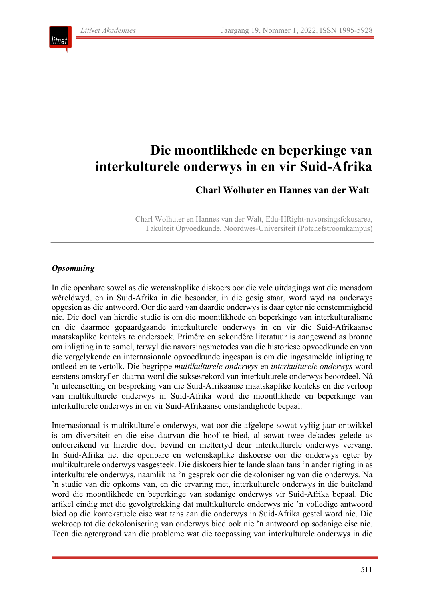

# **Die moontlikhede en beperkinge van interkulturele onderwys in en vir Suid-Afrika**

**Charl Wolhuter en Hannes van der Walt**

Charl Wolhuter en Hannes van der Walt, Edu-HRight-navorsingsfokusarea, Fakulteit Opvoedkunde, Noordwes-Universiteit (Potchefstroomkampus)

## *Opsomming*

In die openbare sowel as die wetenskaplike diskoers oor die vele uitdagings wat die mensdom wêreldwyd, en in Suid-Afrika in die besonder, in die gesig staar, word wyd na onderwys opgesien as die antwoord. Oor die aard van daardie onderwys is daar egter nie eenstemmigheid nie. Die doel van hierdie studie is om die moontlikhede en beperkinge van interkulturalisme en die daarmee gepaardgaande interkulturele onderwys in en vir die Suid-Afrikaanse maatskaplike konteks te ondersoek. Primêre en sekondêre literatuur is aangewend as bronne om inligting in te samel, terwyl die navorsingsmetodes van die historiese opvoedkunde en van die vergelykende en internasionale opvoedkunde ingespan is om die ingesamelde inligting te ontleed en te vertolk. Die begrippe *multikulturele onderwys* en *interkulturele onderwys* word eerstens omskryf en daarna word die suksesrekord van interkulturele onderwys beoordeel. Ná 'n uiteensetting en bespreking van die Suid-Afrikaanse maatskaplike konteks en die verloop van multikulturele onderwys in Suid-Afrika word die moontlikhede en beperkinge van interkulturele onderwys in en vir Suid-Afrikaanse omstandighede bepaal.

Internasionaal is multikulturele onderwys, wat oor die afgelope sowat vyftig jaar ontwikkel is om diversiteit en die eise daarvan die hoof te bied, al sowat twee dekades gelede as ontoereikend vir hierdie doel bevind en mettertyd deur interkulturele onderwys vervang. In Suid-Afrika het die openbare en wetenskaplike diskoerse oor die onderwys egter by multikulturele onderwys vasgesteek. Die diskoers hier te lande slaan tans 'n ander rigting in as interkulturele onderwys, naamlik na 'n gesprek oor die dekolonisering van die onderwys. Na 'n studie van die opkoms van, en die ervaring met, interkulturele onderwys in die buiteland word die moontlikhede en beperkinge van sodanige onderwys vir Suid-Afrika bepaal. Die artikel eindig met die gevolgtrekking dat multikulturele onderwys nie 'n volledige antwoord bied op die kontekstuele eise wat tans aan die onderwys in Suid-Afrika gestel word nie. Die wekroep tot die dekolonisering van onderwys bied ook nie 'n antwoord op sodanige eise nie. Teen die agtergrond van die probleme wat die toepassing van interkulturele onderwys in die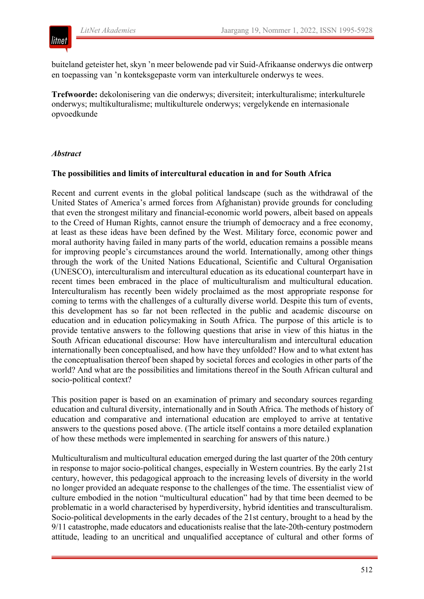

buiteland geteister het, skyn 'n meer belowende pad vir Suid-Afrikaanse onderwys die ontwerp en toepassing van 'n konteksgepaste vorm van interkulturele onderwys te wees.

**Trefwoorde:** dekolonisering van die onderwys; diversiteit; interkulturalisme; interkulturele onderwys; multikulturalisme; multikulturele onderwys; vergelykende en internasionale opvoedkunde

## *Abstract*

#### **The possibilities and limits of intercultural education in and for South Africa**

Recent and current events in the global political landscape (such as the withdrawal of the United States of America's armed forces from Afghanistan) provide grounds for concluding that even the strongest military and financial-economic world powers, albeit based on appeals to the Creed of Human Rights, cannot ensure the triumph of democracy and a free economy, at least as these ideas have been defined by the West. Military force, economic power and moral authority having failed in many parts of the world, education remains a possible means for improving people's circumstances around the world. Internationally, among other things through the work of the United Nations Educational, Scientific and Cultural Organisation (UNESCO), interculturalism and intercultural education as its educational counterpart have in recent times been embraced in the place of multiculturalism and multicultural education. Interculturalism has recently been widely proclaimed as the most appropriate response for coming to terms with the challenges of a culturally diverse world. Despite this turn of events, this development has so far not been reflected in the public and academic discourse on education and in education policymaking in South Africa. The purpose of this article is to provide tentative answers to the following questions that arise in view of this hiatus in the South African educational discourse: How have interculturalism and intercultural education internationally been conceptualised, and how have they unfolded? How and to what extent has the conceptualisation thereof been shaped by societal forces and ecologies in other parts of the world? And what are the possibilities and limitations thereof in the South African cultural and socio-political context?

This position paper is based on an examination of primary and secondary sources regarding education and cultural diversity, internationally and in South Africa. The methods of history of education and comparative and international education are employed to arrive at tentative answers to the questions posed above. (The article itself contains a more detailed explanation of how these methods were implemented in searching for answers of this nature.)

Multiculturalism and multicultural education emerged during the last quarter of the 20th century in response to major socio-political changes, especially in Western countries. By the early 21st century, however, this pedagogical approach to the increasing levels of diversity in the world no longer provided an adequate response to the challenges of the time. The essentialist view of culture embodied in the notion "multicultural education" had by that time been deemed to be problematic in a world characterised by hyperdiversity, hybrid identities and transculturalism. Socio-political developments in the early decades of the 21st century, brought to a head by the 9/11 catastrophe, made educators and educationists realise that the late-20th-century postmodern attitude, leading to an uncritical and unqualified acceptance of cultural and other forms of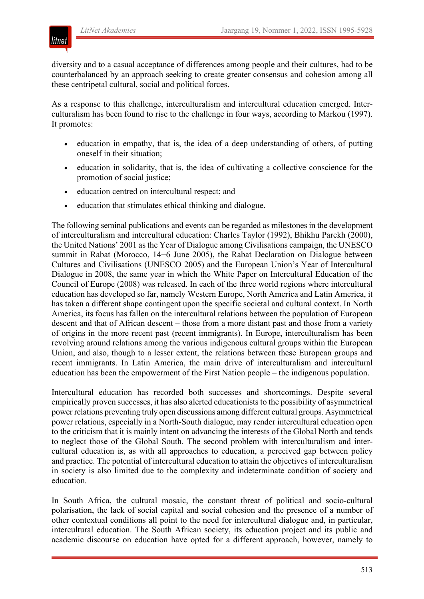

diversity and to a casual acceptance of differences among people and their cultures, had to be counterbalanced by an approach seeking to create greater consensus and cohesion among all these centripetal cultural, social and political forces.

As a response to this challenge, interculturalism and intercultural education emerged. Interculturalism has been found to rise to the challenge in four ways, according to Markou (1997). It promotes:

- education in empathy, that is, the idea of a deep understanding of others, of putting oneself in their situation;
- education in solidarity, that is, the idea of cultivating a collective conscience for the promotion of social justice;
- education centred on intercultural respect; and
- education that stimulates ethical thinking and dialogue.

The following seminal publications and events can be regarded as milestones in the development of interculturalism and intercultural education: Charles Taylor (1992), Bhikhu Parekh (2000), the United Nations' 2001 as the Year of Dialogue among Civilisations campaign, the UNESCO summit in Rabat (Morocco, 14−6 June 2005), the Rabat Declaration on Dialogue between Cultures and Civilisations (UNESCO 2005) and the European Union's Year of Intercultural Dialogue in 2008, the same year in which the White Paper on Intercultural Education of the Council of Europe (2008) was released. In each of the three world regions where intercultural education has developed so far, namely Western Europe, North America and Latin America, it has taken a different shape contingent upon the specific societal and cultural context. In North America, its focus has fallen on the intercultural relations between the population of European descent and that of African descent – those from a more distant past and those from a variety of origins in the more recent past (recent immigrants). In Europe, interculturalism has been revolving around relations among the various indigenous cultural groups within the European Union, and also, though to a lesser extent, the relations between these European groups and recent immigrants. In Latin America, the main drive of interculturalism and intercultural education has been the empowerment of the First Nation people – the indigenous population.

Intercultural education has recorded both successes and shortcomings. Despite several empirically proven successes, it has also alerted educationists to the possibility of asymmetrical power relations preventing truly open discussions among different cultural groups. Asymmetrical power relations, especially in a North-South dialogue, may render intercultural education open to the criticism that it is mainly intent on advancing the interests of the Global North and tends to neglect those of the Global South. The second problem with interculturalism and intercultural education is, as with all approaches to education, a perceived gap between policy and practice. The potential of intercultural education to attain the objectives of interculturalism in society is also limited due to the complexity and indeterminate condition of society and education.

In South Africa, the cultural mosaic, the constant threat of political and socio-cultural polarisation, the lack of social capital and social cohesion and the presence of a number of other contextual conditions all point to the need for intercultural dialogue and, in particular, intercultural education. The South African society, its education project and its public and academic discourse on education have opted for a different approach, however, namely to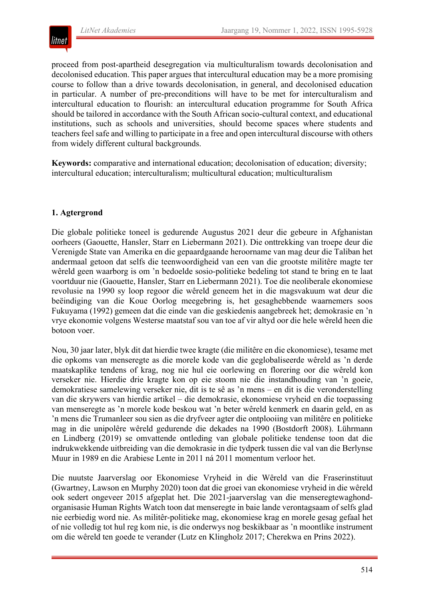

proceed from post-apartheid desegregation via multiculturalism towards decolonisation and decolonised education. This paper argues that intercultural education may be a more promising course to follow than a drive towards decolonisation, in general, and decolonised education in particular. A number of pre-preconditions will have to be met for interculturalism and intercultural education to flourish: an intercultural education programme for South Africa should be tailored in accordance with the South African socio-cultural context, and educational institutions, such as schools and universities, should become spaces where students and teachers feel safe and willing to participate in a free and open intercultural discourse with others from widely different cultural backgrounds.

**Keywords:** comparative and international education; decolonisation of education; diversity; intercultural education; interculturalism; multicultural education; multiculturalism

# **1. Agtergrond**

Die globale politieke toneel is gedurende Augustus 2021 deur die gebeure in Afghanistan oorheers (Gaouette, Hansler, Starr en Liebermann 2021). Die onttrekking van troepe deur die Verenigde State van Amerika en die gepaardgaande heroorname van mag deur die Taliban het andermaal getoon dat selfs die teenwoordigheid van een van die grootste militêre magte ter wêreld geen waarborg is om 'n bedoelde sosio-politieke bedeling tot stand te bring en te laat voortduur nie (Gaouette, Hansler, Starr en Liebermann 2021). Toe die neoliberale ekonomiese revolusie na 1990 sy loop regoor die wêreld geneem het in die magsvakuum wat deur die beëindiging van die Koue Oorlog meegebring is, het gesaghebbende waarnemers soos Fukuyama (1992) gemeen dat die einde van die geskiedenis aangebreek het; demokrasie en 'n vrye ekonomie volgens Westerse maatstaf sou van toe af vir altyd oor die hele wêreld heen die botoon voer.

Nou, 30 jaar later, blyk dit dat hierdie twee kragte (die militêre en die ekonomiese), tesame met die opkoms van menseregte as die morele kode van die geglobaliseerde wêreld as 'n derde maatskaplike tendens of krag, nog nie hul eie oorlewing en florering oor die wêreld kon verseker nie. Hierdie drie kragte kon op eie stoom nie die instandhouding van 'n goeie, demokratiese samelewing verseker nie, dit is te sê as 'n mens – en dit is die veronderstelling van die skrywers van hierdie artikel – die demokrasie, ekonomiese vryheid en die toepassing van menseregte as 'n morele kode beskou wat 'n beter wêreld kenmerk en daarin geld, en as 'n mens die Trumanleer sou sien as die dryfveer agter die ontplooiing van militêre en politieke mag in die unipolêre wêreld gedurende die dekades na 1990 (Bostdorft 2008). Lührmann en Lindberg (2019) se omvattende ontleding van globale politieke tendense toon dat die indrukwekkende uitbreiding van die demokrasie in die tydperk tussen die val van die Berlynse Muur in 1989 en die Arabiese Lente in 2011 ná 2011 momentum verloor het.

Die nuutste Jaarverslag oor Ekonomiese Vryheid in die Wêreld van die Fraserinstituut (Gwartney, Lawson en Murphy 2020) toon dat die groei van ekonomiese vryheid in die wêreld ook sedert ongeveer 2015 afgeplat het. Die 2021-jaarverslag van die menseregtewaghondorganisasie Human Rights Watch toon dat menseregte in baie lande verontagsaam of selfs glad nie eerbiedig word nie. As militêr-politieke mag, ekonomiese krag en morele gesag gefaal het of nie volledig tot hul reg kom nie, is die onderwys nog beskikbaar as 'n moontlike instrument om die wêreld ten goede te verander (Lutz en Klingholz 2017; Cherekwa en Prins 2022).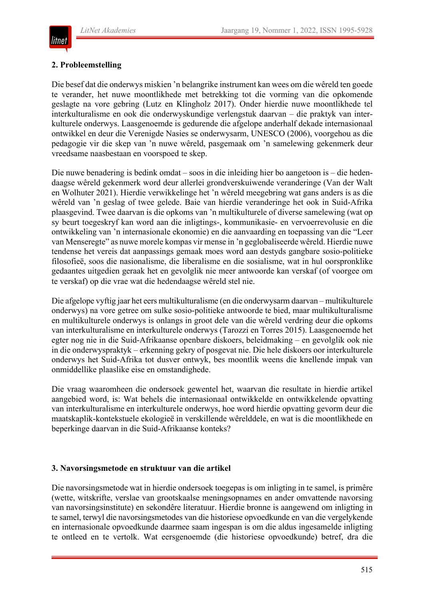

#### **2. Probleemstelling**

Die besef dat die onderwys miskien 'n belangrike instrument kan wees om die wêreld ten goede te verander, het nuwe moontlikhede met betrekking tot die vorming van die opkomende geslagte na vore gebring (Lutz en Klingholz 2017). Onder hierdie nuwe moontlikhede tel interkulturalisme en ook die onderwyskundige verlengstuk daarvan – die praktyk van interkulturele onderwys. Laasgenoemde is gedurende die afgelope anderhalf dekade internasionaal ontwikkel en deur die Verenigde Nasies se onderwysarm, UNESCO (2006), voorgehou as die pedagogie vir die skep van 'n nuwe wêreld, pasgemaak om 'n samelewing gekenmerk deur vreedsame naasbestaan en voorspoed te skep.

Die nuwe benadering is bedink omdat – soos in die inleiding hier bo aangetoon is – die hedendaagse wêreld gekenmerk word deur allerlei grondverskuiwende veranderinge (Van der Walt en Wolhuter 2021). Hierdie verwikkelinge het 'n wêreld meegebring wat gans anders is as die wêreld van 'n geslag of twee gelede. Baie van hierdie veranderinge het ook in Suid-Afrika plaasgevind. Twee daarvan is die opkoms van 'n multikulturele of diverse samelewing (wat op sy beurt toegeskryf kan word aan die inligtings-, kommunikasie- en vervoerrevolusie en die ontwikkeling van 'n internasionale ekonomie) en die aanvaarding en toepassing van die "Leer van Menseregte" as nuwe morele kompas vir mense in 'n geglobaliseerde wêreld. Hierdie nuwe tendense het vereis dat aanpassings gemaak moes word aan destyds gangbare sosio-politieke filosofieë, soos die nasionalisme, die liberalisme en die sosialisme, wat in hul oorspronklike gedaantes uitgedien geraak het en gevolglik nie meer antwoorde kan verskaf (of voorgee om te verskaf) op die vrae wat die hedendaagse wêreld stel nie.

Die afgelope vyftig jaar het eers multikulturalisme (en die onderwysarm daarvan – multikulturele onderwys) na vore getree om sulke sosio-politieke antwoorde te bied, maar multikulturalisme en multikulturele onderwys is onlangs in groot dele van die wêreld verdring deur die opkoms van interkulturalisme en interkulturele onderwys (Tarozzi en Torres 2015). Laasgenoemde het egter nog nie in die Suid-Afrikaanse openbare diskoers, beleidmaking – en gevolglik ook nie in die onderwyspraktyk – erkenning gekry of posgevat nie. Die hele diskoers oor interkulturele onderwys het Suid-Afrika tot dusver ontwyk, bes moontlik weens die knellende impak van onmiddellike plaaslike eise en omstandighede.

Die vraag waaromheen die ondersoek gewentel het, waarvan die resultate in hierdie artikel aangebied word, is: Wat behels die internasionaal ontwikkelde en ontwikkelende opvatting van interkulturalisme en interkulturele onderwys, hoe word hierdie opvatting gevorm deur die maatskaplik-kontekstuele ekologieë in verskillende wêrelddele, en wat is die moontlikhede en beperkinge daarvan in die Suid-Afrikaanse konteks?

#### **3. Navorsingsmetode en struktuur van die artikel**

Die navorsingsmetode wat in hierdie ondersoek toegepas is om inligting in te samel, is primêre (wette, witskrifte, verslae van grootskaalse meningsopnames en ander omvattende navorsing van navorsingsinstitute) en sekondêre literatuur. Hierdie bronne is aangewend om inligting in te samel, terwyl die navorsingsmetodes van die historiese opvoedkunde en van die vergelykende en internasionale opvoedkunde daarmee saam ingespan is om die aldus ingesamelde inligting te ontleed en te vertolk. Wat eersgenoemde (die historiese opvoedkunde) betref, dra die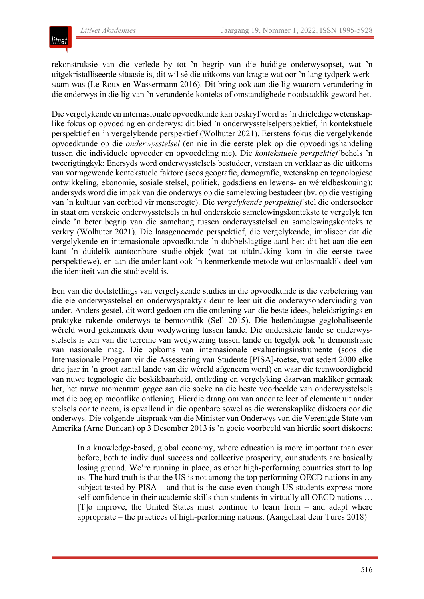

rekonstruksie van die verlede by tot 'n begrip van die huidige onderwysopset, wat 'n uitgekristalliseerde situasie is, dit wil sê die uitkoms van kragte wat oor 'n lang tydperk werksaam was (Le Roux en Wassermann 2016). Dit bring ook aan die lig waarom verandering in die onderwys in die lig van 'n veranderde konteks of omstandighede noodsaaklik geword het.

Die vergelykende en internasionale opvoedkunde kan beskryf word as 'n drieledige wetenskaplike fokus op opvoeding en onderwys: dit bied 'n onderwysstelselperspektief, 'n kontekstuele perspektief en 'n vergelykende perspektief (Wolhuter 2021). Eerstens fokus die vergelykende opvoedkunde op die *onderwysstelsel* (en nie in die eerste plek op die opvoedingshandeling tussen die individuele opvoeder en opvoedeling nie). Die *kontekstuele perspektief* behels 'n tweerigtingkyk: Enersyds word onderwysstelsels bestudeer, verstaan en verklaar as die uitkoms van vormgewende kontekstuele faktore (soos geografie, demografie, wetenskap en tegnologiese ontwikkeling, ekonomie, sosiale stelsel, politiek, godsdiens en lewens- en wêreldbeskouing); andersyds word die impak van die onderwys op die samelewing bestudeer (bv. op die vestiging van 'n kultuur van eerbied vir menseregte). Die *vergelykende perspektief* stel die ondersoeker in staat om verskeie onderwysstelsels in hul onderskeie samelewingskontekste te vergelyk ten einde 'n beter begrip van die samehang tussen onderwysstelsel en samelewingskonteks te verkry (Wolhuter 2021). Die laasgenoemde perspektief, die vergelykende, impliseer dat die vergelykende en internasionale opvoedkunde 'n dubbelslagtige aard het: dit het aan die een kant 'n duidelik aantoonbare studie-objek (wat tot uitdrukking kom in die eerste twee perspektiewe), en aan die ander kant ook 'n kenmerkende metode wat onlosmaaklik deel van die identiteit van die studieveld is.

Een van die doelstellings van vergelykende studies in die opvoedkunde is die verbetering van die eie onderwysstelsel en onderwyspraktyk deur te leer uit die onderwysondervinding van ander. Anders gestel, dit word gedoen om die ontlening van die beste idees, beleidsrigtings en praktyke rakende onderwys te bemoontlik (Sell 2015). Die hedendaagse geglobaliseerde wêreld word gekenmerk deur wedywering tussen lande. Die onderskeie lande se onderwysstelsels is een van die terreine van wedywering tussen lande en tegelyk ook 'n demonstrasie van nasionale mag. Die opkoms van internasionale evalueringsinstrumente (soos die Internasionale Program vir die Assessering van Studente [PISA]-toetse, wat sedert 2000 elke drie jaar in 'n groot aantal lande van die wêreld afgeneem word) en waar die teenwoordigheid van nuwe tegnologie die beskikbaarheid, ontleding en vergelyking daarvan makliker gemaak het, het nuwe momentum gegee aan die soeke na die beste voorbeelde van onderwysstelsels met die oog op moontlike ontlening. Hierdie drang om van ander te leer of elemente uit ander stelsels oor te neem, is opvallend in die openbare sowel as die wetenskaplike diskoers oor die onderwys. Die volgende uitspraak van die Minister van Onderwys van die Verenigde State van Amerika (Arne Duncan) op 3 Desember 2013 is 'n goeie voorbeeld van hierdie soort diskoers:

In a knowledge-based, global economy, where education is more important than ever before, both to individual success and collective prosperity, our students are basically losing ground. We're running in place, as other high-performing countries start to lap us. The hard truth is that the US is not among the top performing OECD nations in any subject tested by PISA – and that is the case even though US students express more self-confidence in their academic skills than students in virtually all OECD nations …  $[T]$ o improve, the United States must continue to learn from  $-$  and adapt where appropriate ‒ the practices of high-performing nations. (Aangehaal deur Tures 2018)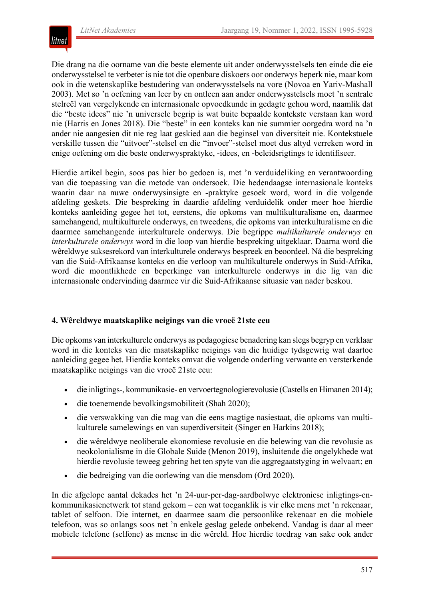

Die drang na die oorname van die beste elemente uit ander onderwysstelsels ten einde die eie onderwysstelsel te verbeter is nie tot die openbare diskoers oor onderwys beperk nie, maar kom ook in die wetenskaplike bestudering van onderwysstelsels na vore (Novoa en Yariv-Mashall 2003). Met so 'n oefening van leer by en ontleen aan ander onderwysstelsels moet 'n sentrale stelreël van vergelykende en internasionale opvoedkunde in gedagte gehou word, naamlik dat die "beste idees" nie 'n universele begrip is wat buite bepaalde kontekste verstaan kan word nie (Harris en Jones 2018). Die "beste" in een konteks kan nie summier oorgedra word na 'n ander nie aangesien dit nie reg laat geskied aan die beginsel van diversiteit nie. Kontekstuele verskille tussen die "uitvoer"-stelsel en die "invoer"-stelsel moet dus altyd verreken word in enige oefening om die beste onderwyspraktyke, -idees, en -beleidsrigtings te identifiseer.

Hierdie artikel begin, soos pas hier bo gedoen is, met 'n verduideliking en verantwoording van die toepassing van die metode van ondersoek. Die hedendaagse internasionale konteks waarin daar na nuwe onderwysinsigte en -praktyke gesoek word, word in die volgende afdeling geskets. Die bespreking in daardie afdeling verduidelik onder meer hoe hierdie konteks aanleiding gegee het tot, eerstens, die opkoms van multikulturalisme en, daarmee samehangend, multikulturele onderwys, en tweedens, die opkoms van interkulturalisme en die daarmee samehangende interkulturele onderwys. Die begrippe *multikulturele onderwys* en *interkulturele onderwys* word in die loop van hierdie bespreking uitgeklaar. Daarna word die wêreldwye suksesrekord van interkulturele onderwys bespreek en beoordeel. Ná die bespreking van die Suid-Afrikaanse konteks en die verloop van multikulturele onderwys in Suid-Afrika, word die moontlikhede en beperkinge van interkulturele onderwys in die lig van die internasionale ondervinding daarmee vir die Suid-Afrikaanse situasie van nader beskou.

#### **4. Wêreldwye maatskaplike neigings van die vroeë 21ste eeu**

Die opkoms van interkulturele onderwys as pedagogiese benadering kan slegs begryp en verklaar word in die konteks van die maatskaplike neigings van die huidige tydsgewrig wat daartoe aanleiding gegee het. Hierdie konteks omvat die volgende onderling verwante en versterkende maatskaplike neigings van die vroeë 21ste eeu:

- die inligtings-, kommunikasie- en vervoertegnologierevolusie (Castells en Himanen 2014);
- die toenemende bevolkingsmobiliteit (Shah 2020);
- die verswakking van die mag van die eens magtige nasiestaat, die opkoms van multikulturele samelewings en van superdiversiteit (Singer en Harkins 2018);
- die wêreldwye neoliberale ekonomiese revolusie en die belewing van die revolusie as neokolonialisme in die Globale Suide (Menon 2019), insluitende die ongelykhede wat hierdie revolusie teweeg gebring het ten spyte van die aggregaatstyging in welvaart; en
- die bedreiging van die oorlewing van die mensdom (Ord 2020).

In die afgelope aantal dekades het 'n 24-uur-per-dag-aardbolwye elektroniese inligtings-enkommunikasienetwerk tot stand gekom – een wat toeganklik is vir elke mens met 'n rekenaar, tablet of selfoon. Die internet, en daarmee saam die persoonlike rekenaar en die mobiele telefoon, was so onlangs soos net 'n enkele geslag gelede onbekend. Vandag is daar al meer mobiele telefone (selfone) as mense in die wêreld. Hoe hierdie toedrag van sake ook ander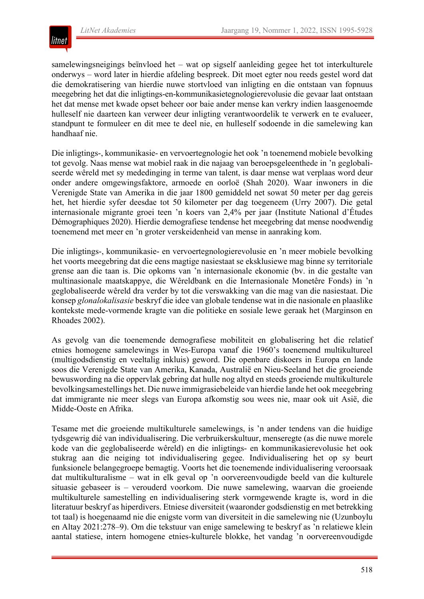

samelewingsneigings beïnvloed het – wat op sigself aanleiding gegee het tot interkulturele onderwys – word later in hierdie afdeling bespreek. Dit moet egter nou reeds gestel word dat die demokratisering van hierdie nuwe stortvloed van inligting en die ontstaan van fopnuus meegebring het dat die inligtings-en-kommunikasietegnologierevolusie die gevaar laat ontstaan het dat mense met kwade opset beheer oor baie ander mense kan verkry indien laasgenoemde hulleself nie daarteen kan verweer deur inligting verantwoordelik te verwerk en te evalueer, standpunt te formuleer en dit mee te deel nie, en hulleself sodoende in die samelewing kan handhaaf nie.

Die inligtings-, kommunikasie- en vervoertegnologie het ook 'n toenemend mobiele bevolking tot gevolg. Naas mense wat mobiel raak in die najaag van beroepsgeleenthede in 'n geglobaliseerde wêreld met sy mededinging in terme van talent, is daar mense wat verplaas word deur onder andere omgewingsfaktore, armoede en oorloë (Shah 2020). Waar inwoners in die Verenigde State van Amerika in die jaar 1800 gemiddeld net sowat 50 meter per dag gereis het, het hierdie syfer deesdae tot 50 kilometer per dag toegeneem (Urry 2007). Die getal internasionale migrante groei teen 'n koers van 2,4% per jaar (Institute National d'Études Démographiques 2020). Hierdie demografiese tendense het meegebring dat mense noodwendig toenemend met meer en 'n groter verskeidenheid van mense in aanraking kom.

Die inligtings-, kommunikasie- en vervoertegnologierevolusie en 'n meer mobiele bevolking het voorts meegebring dat die eens magtige nasiestaat se eksklusiewe mag binne sy territoriale grense aan die taan is. Die opkoms van 'n internasionale ekonomie (bv. in die gestalte van multinasionale maatskappye, die Wêreldbank en die Internasionale Monetêre Fonds) in 'n geglobaliseerde wêreld dra verder by tot die verswakking van die mag van die nasiestaat. Die konsep *glonalokalisasie* beskryf die idee van globale tendense wat in die nasionale en plaaslike kontekste mede-vormende kragte van die politieke en sosiale lewe geraak het (Marginson en Rhoades 2002).

As gevolg van die toenemende demografiese mobiliteit en globalisering het die relatief etnies homogene samelewings in Wes-Europa vanaf die 1960's toenemend multikultureel (multigodsdienstig en veeltalig inkluis) geword. Die openbare diskoers in Europa en lande soos die Verenigde State van Amerika, Kanada, Australië en Nieu-Seeland het die groeiende bewuswording na die oppervlak gebring dat hulle nog altyd en steeds groeiende multikulturele bevolkingsamestellings het. Die nuwe immigrasiebeleide van hierdie lande het ook meegebring dat immigrante nie meer slegs van Europa afkomstig sou wees nie, maar ook uit Asië, die Midde-Ooste en Afrika.

Tesame met die groeiende multikulturele samelewings, is 'n ander tendens van die huidige tydsgewrig dié van individualisering. Die verbruikerskultuur, menseregte (as die nuwe morele kode van die geglobaliseerde wêreld) en die inligtings- en kommunikasierevolusie het ook stukrag aan die neiging tot individualisering gegee. Individualisering het op sy beurt funksionele belangegroepe bemagtig. Voorts het die toenemende individualisering veroorsaak dat multikulturalisme – wat in elk geval op 'n oorvereenvoudigde beeld van die kulturele situasie gebaseer is – verouderd voorkom. Die nuwe samelewing, waarvan die groeiende multikulturele samestelling en individualisering sterk vormgewende kragte is, word in die literatuur beskryf as hiperdivers. Etniese diversiteit (waaronder godsdienstig en met betrekking tot taal) is hoegenaamd nie die enigste vorm van diversiteit in die samelewing nie (Uzunboylu en Altay 2021:278–9). Om die tekstuur van enige samelewing te beskryf as 'n relatiewe klein aantal statiese, intern homogene etnies-kulturele blokke, het vandag 'n oorvereenvoudigde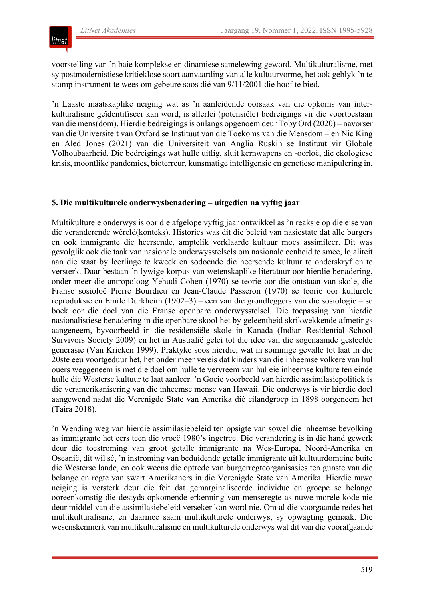

voorstelling van 'n baie komplekse en dinamiese samelewing geword. Multikulturalisme, met sy postmodernistiese kritieklose soort aanvaarding van alle kultuurvorme, het ook geblyk 'n te stomp instrument te wees om gebeure soos dié van 9/11/2001 die hoof te bied.

'n Laaste maatskaplike neiging wat as 'n aanleidende oorsaak van die opkoms van interkulturalisme geïdentifiseer kan word, is allerlei (potensiële) bedreigings vir die voortbestaan van die mens(dom). Hierdie bedreigings is onlangs opgenoem deur Toby Ord (2020) – navorser van die Universiteit van Oxford se Instituut van die Toekoms van die Mensdom – en Nic King en Aled Jones (2021) van die Universiteit van Anglia Ruskin se Instituut vir Globale Volhoubaarheid. Die bedreigings wat hulle uitlig, sluit kernwapens en -oorloë, die ekologiese krisis, moontlike pandemies, bioterreur, kunsmatige intelligensie en genetiese manipulering in.

#### **5. Die multikulturele onderwysbenadering – uitgedien na vyftig jaar**

Multikulturele onderwys is oor die afgelope vyftig jaar ontwikkel as 'n reaksie op die eise van die veranderende wêreld(konteks). Histories was dit die beleid van nasiestate dat alle burgers en ook immigrante die heersende, amptelik verklaarde kultuur moes assimileer. Dit was gevolglik ook die taak van nasionale onderwysstelsels om nasionale eenheid te smee, lojaliteit aan die staat by leerlinge te kweek en sodoende die heersende kultuur te onderskryf en te versterk. Daar bestaan 'n lywige korpus van wetenskaplike literatuur oor hierdie benadering, onder meer die antropoloog Yehudi Cohen (1970) se teorie oor die ontstaan van skole, die Franse sosioloë Pierre Bourdieu en Jean-Claude Passeron (1970) se teorie oor kulturele reproduksie en Emile Durkheim (1902–3) – een van die grondleggers van die sosiologie – se boek oor die doel van die Franse openbare onderwysstelsel. Die toepassing van hierdie nasionalistiese benadering in die openbare skool het by geleentheid skrikwekkende afmetings aangeneem, byvoorbeeld in die residensiële skole in Kanada (Indian Residential School Survivors Society 2009) en het in Australië gelei tot die idee van die sogenaamde gesteelde generasie (Van Krieken 1999). Praktyke soos hierdie, wat in sommige gevalle tot laat in die 20ste eeu voortgeduur het, het onder meer vereis dat kinders van die inheemse volkere van hul ouers weggeneem is met die doel om hulle te vervreem van hul eie inheemse kulture ten einde hulle die Westerse kultuur te laat aanleer. 'n Goeie voorbeeld van hierdie assimilasiepolitiek is die veramerikanisering van die inheemse mense van Hawaii. Die onderwys is vir hierdie doel aangewend nadat die Verenigde State van Amerika dié eilandgroep in 1898 oorgeneem het (Taira 2018).

'n Wending weg van hierdie assimilasiebeleid ten opsigte van sowel die inheemse bevolking as immigrante het eers teen die vroeë 1980's ingetree. Die verandering is in die hand gewerk deur die toestroming van groot getalle immigrante na Wes-Europa, Noord-Amerika en Oseanië, dit wil sê, 'n instroming van beduidende getalle immigrante uit kultuurdomeine buite die Westerse lande, en ook weens die optrede van burgerregteorganisasies ten gunste van die belange en regte van swart Amerikaners in die Verenigde State van Amerika. Hierdie nuwe neiging is versterk deur die feit dat gemarginaliseerde individue en groepe se belange ooreenkomstig die destyds opkomende erkenning van menseregte as nuwe morele kode nie deur middel van die assimilasiebeleid verseker kon word nie. Om al die voorgaande redes het multikulturalisme, en daarmee saam multikulturele onderwys, sy opwagting gemaak. Die wesenskenmerk van multikulturalisme en multikulturele onderwys wat dit van die voorafgaande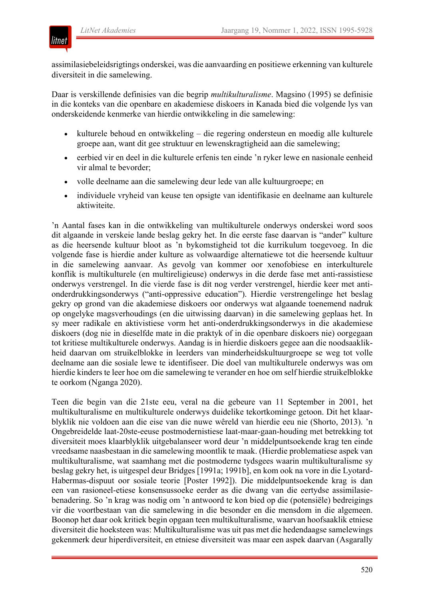

assimilasiebeleidsrigtings onderskei, was die aanvaarding en positiewe erkenning van kulturele diversiteit in die samelewing.

Daar is verskillende definisies van die begrip *multikulturalisme*. Magsino (1995) se definisie in die konteks van die openbare en akademiese diskoers in Kanada bied die volgende lys van onderskeidende kenmerke van hierdie ontwikkeling in die samelewing:

- kulturele behoud en ontwikkeling die regering ondersteun en moedig alle kulturele groepe aan, want dit gee struktuur en lewenskragtigheid aan die samelewing;
- eerbied vir en deel in die kulturele erfenis ten einde 'n ryker lewe en nasionale eenheid vir almal te bevorder;
- volle deelname aan die samelewing deur lede van alle kultuurgroepe; en
- individuele vryheid van keuse ten opsigte van identifikasie en deelname aan kulturele aktiwiteite.

'n Aantal fases kan in die ontwikkeling van multikulturele onderwys onderskei word soos dit algaande in verskeie lande beslag gekry het. In die eerste fase daarvan is "ander" kulture as die heersende kultuur bloot as 'n bykomstigheid tot die kurrikulum toegevoeg. In die volgende fase is hierdie ander kulture as volwaardige alternatiewe tot die heersende kultuur in die samelewing aanvaar. As gevolg van kommer oor xenofobiese en interkulturele konflik is multikulturele (en multireligieuse) onderwys in die derde fase met anti-rassistiese onderwys verstrengel. In die vierde fase is dit nog verder verstrengel, hierdie keer met antionderdrukkingsonderwys ("anti-oppressive education"). Hierdie verstrengelinge het beslag gekry op grond van die akademiese diskoers oor onderwys wat algaande toenemend nadruk op ongelyke magsverhoudings (en die uitwissing daarvan) in die samelewing geplaas het. In sy meer radikale en aktivistiese vorm het anti-onderdrukkingsonderwys in die akademiese diskoers (dog nie in dieselfde mate in die praktyk of in die openbare diskoers nie) oorgegaan tot kritiese multikulturele onderwys. Aandag is in hierdie diskoers gegee aan die noodsaaklikheid daarvan om struikelblokke in leerders van minderheidskultuurgroepe se weg tot volle deelname aan die sosiale lewe te identifiseer. Die doel van multikulturele onderwys was om hierdie kinders te leer hoe om die samelewing te verander en hoe om self hierdie struikelblokke te oorkom (Nganga 2020).

Teen die begin van die 21ste eeu, veral na die gebeure van 11 September in 2001, het multikulturalisme en multikulturele onderwys duidelike tekortkominge getoon. Dit het klaarblyklik nie voldoen aan die eise van die nuwe wêreld van hierdie eeu nie (Shorto, 2013). 'n Ongebreidelde laat-20ste-eeuse postmodernistiese laat-maar-gaan-houding met betrekking tot diversiteit moes klaarblyklik uitgebalanseer word deur 'n middelpuntsoekende krag ten einde vreedsame naasbestaan in die samelewing moontlik te maak. (Hierdie problematiese aspek van multikulturalisme, wat saamhang met die postmoderne tydsgees waarin multikulturalisme sy beslag gekry het, is uitgespel deur Bridges [1991a; 1991b], en kom ook na vore in die Lyotard-Habermas-dispuut oor sosiale teorie [Poster 1992]). Die middelpuntsoekende krag is dan een van rasioneel-etiese konsensussoeke eerder as die dwang van die eertydse assimilasiebenadering. So 'n krag was nodig om 'n antwoord te kon bied op die (potensiële) bedreigings vir die voortbestaan van die samelewing in die besonder en die mensdom in die algemeen. Boonop het daar ook kritiek begin opgaan teen multikulturalisme, waarvan hoofsaaklik etniese diversiteit die hoeksteen was: Multikulturalisme was uit pas met die hedendaagse samelewings gekenmerk deur hiperdiversiteit, en etniese diversiteit was maar een aspek daarvan (Asgarally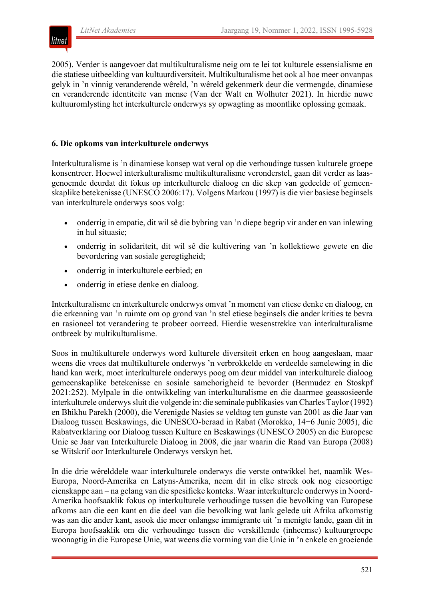

2005). Verder is aangevoer dat multikulturalisme neig om te lei tot kulturele essensialisme en die statiese uitbeelding van kultuurdiversiteit. Multikulturalisme het ook al hoe meer onvanpas gelyk in 'n vinnig veranderende wêreld, 'n wêreld gekenmerk deur die vermengde, dinamiese en veranderende identiteite van mense (Van der Walt en Wolhuter 2021). In hierdie nuwe kultuuromlysting het interkulturele onderwys sy opwagting as moontlike oplossing gemaak.

#### **6. Die opkoms van interkulturele onderwys**

Interkulturalisme is 'n dinamiese konsep wat veral op die verhoudinge tussen kulturele groepe konsentreer. Hoewel interkulturalisme multikulturalisme veronderstel, gaan dit verder as laasgenoemde deurdat dit fokus op interkulturele dialoog en die skep van gedeelde of gemeenskaplike betekenisse (UNESCO 2006:17). Volgens Markou (1997) is die vier basiese beginsels van interkulturele onderwys soos volg:

- onderrig in empatie, dit wil sê die bybring van 'n diepe begrip vir ander en van inlewing in hul situasie;
- onderrig in solidariteit, dit wil sê die kultivering van 'n kollektiewe gewete en die bevordering van sosiale geregtigheid;
- onderrig in interkulturele eerbied; en
- onderrig in etiese denke en dialoog.

Interkulturalisme en interkulturele onderwys omvat 'n moment van etiese denke en dialoog, en die erkenning van 'n ruimte om op grond van 'n stel etiese beginsels die ander krities te bevra en rasioneel tot verandering te probeer oorreed. Hierdie wesenstrekke van interkulturalisme ontbreek by multikulturalisme.

Soos in multikulturele onderwys word kulturele diversiteit erken en hoog aangeslaan, maar weens die vrees dat multikulturele onderwys 'n verbrokkelde en verdeelde samelewing in die hand kan werk, moet interkulturele onderwys poog om deur middel van interkulturele dialoog gemeenskaplike betekenisse en sosiale samehorigheid te bevorder (Bermudez en Stoskpf 2021:252). Mylpale in die ontwikkeling van interkulturalisme en die daarmee geassosieerde interkulturele onderwys sluit die volgende in: die seminale publikasies van Charles Taylor (1992) en Bhikhu Parekh (2000), die Verenigde Nasies se veldtog ten gunste van 2001 as die Jaar van Dialoog tussen Beskawings, die UNESCO-beraad in Rabat (Morokko, 14−6 Junie 2005), die Rabatverklaring oor Dialoog tussen Kulture en Beskawings (UNESCO 2005) en die Europese Unie se Jaar van Interkulturele Dialoog in 2008, die jaar waarin die Raad van Europa (2008) se Witskrif oor Interkulturele Onderwys verskyn het.

In die drie wêrelddele waar interkulturele onderwys die verste ontwikkel het, naamlik Wes-Europa, Noord-Amerika en Latyns-Amerika, neem dit in elke streek ook nog eiesoortige eienskappe aan – na gelang van die spesifieke konteks. Waar interkulturele onderwys in Noord-Amerika hoofsaaklik fokus op interkulturele verhoudinge tussen die bevolking van Europese afkoms aan die een kant en die deel van die bevolking wat lank gelede uit Afrika afkomstig was aan die ander kant, asook die meer onlangse immigrante uit 'n menigte lande, gaan dit in Europa hoofsaaklik om die verhoudinge tussen die verskillende (inheemse) kultuurgroepe woonagtig in die Europese Unie, wat weens die vorming van die Unie in 'n enkele en groeiende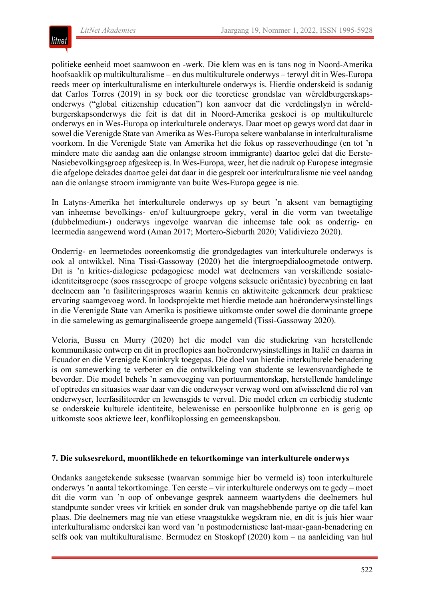

politieke eenheid moet saamwoon en -werk. Die klem was en is tans nog in Noord-Amerika hoofsaaklik op multikulturalisme – en dus multikulturele onderwys – terwyl dit in Wes-Europa reeds meer op interkulturalisme en interkulturele onderwys is. Hierdie onderskeid is sodanig dat Carlos Torres (2019) in sy boek oor die teoretiese grondslae van wêreldburgerskapsonderwys ("global citizenship education") kon aanvoer dat die verdelingslyn in wêreldburgerskapsonderwys die feit is dat dit in Noord-Amerika geskoei is op multikulturele onderwys en in Wes-Europa op interkulturele onderwys. Daar moet op gewys word dat daar in sowel die Verenigde State van Amerika as Wes-Europa sekere wanbalanse in interkulturalisme voorkom. In die Verenigde State van Amerika het die fokus op rasseverhoudinge (en tot 'n mindere mate die aandag aan die onlangse stroom immigrante) daartoe gelei dat die Eerste-Nasiebevolkingsgroep afgeskeep is. In Wes-Europa, weer, het die nadruk op Europese integrasie die afgelope dekades daartoe gelei dat daar in die gesprek oor interkulturalisme nie veel aandag aan die onlangse stroom immigrante van buite Wes-Europa gegee is nie.

In Latyns-Amerika het interkulturele onderwys op sy beurt 'n aksent van bemagtiging van inheemse bevolkings- en/of kultuurgroepe gekry, veral in die vorm van tweetalige (dubbelmedium-) onderwys ingevolge waarvan die inheemse tale ook as onderrig- en leermedia aangewend word (Aman 2017; Mortero-Sieburth 2020; Validiviezo 2020).

Onderrig- en leermetodes ooreenkomstig die grondgedagtes van interkulturele onderwys is ook al ontwikkel. Nina Tissi-Gassoway (2020) het die intergroepdialoogmetode ontwerp. Dit is 'n krities-dialogiese pedagogiese model wat deelnemers van verskillende sosialeidentiteitsgroepe (soos rassegroepe of groepe volgens seksuele oriëntasie) byeenbring en laat deelneem aan 'n fasiliteringsproses waarin kennis en aktiwiteite gekenmerk deur praktiese ervaring saamgevoeg word. In loodsprojekte met hierdie metode aan hoëronderwysinstellings in die Verenigde State van Amerika is positiewe uitkomste onder sowel die dominante groepe in die samelewing as gemarginaliseerde groepe aangemeld (Tissi-Gassoway 2020).

Veloria, Bussu en Murry (2020) het die model van die studiekring van herstellende kommunikasie ontwerp en dit in proeflopies aan hoëronderwysinstellings in Italië en daarna in Ecuador en die Verenigde Koninkryk toegepas. Die doel van hierdie interkulturele benadering is om samewerking te verbeter en die ontwikkeling van studente se lewensvaardighede te bevorder. Die model behels 'n samevoeging van portuurmentorskap, herstellende handelinge of optredes en situasies waar daar van die onderwyser verwag word om afwisselend die rol van onderwyser, leerfasiliteerder en lewensgids te vervul. Die model erken en eerbiedig studente se onderskeie kulturele identiteite, belewenisse en persoonlike hulpbronne en is gerig op uitkomste soos aktiewe leer, konflikoplossing en gemeenskapsbou.

#### **7. Die suksesrekord, moontlikhede en tekortkominge van interkulturele onderwys**

Ondanks aangetekende suksesse (waarvan sommige hier bo vermeld is) toon interkulturele onderwys 'n aantal tekortkominge. Ten eerste – vir interkulturele onderwys om te gedy – moet dit die vorm van 'n oop of onbevange gesprek aanneem waartydens die deelnemers hul standpunte sonder vrees vir kritiek en sonder druk van magshebbende partye op die tafel kan plaas. Die deelnemers mag nie van etiese vraagstukke wegskram nie, en dit is juis hier waar interkulturalisme onderskei kan word van 'n postmodernistiese laat-maar-gaan-benadering en selfs ook van multikulturalisme. Bermudez en Stoskopf (2020) kom – na aanleiding van hul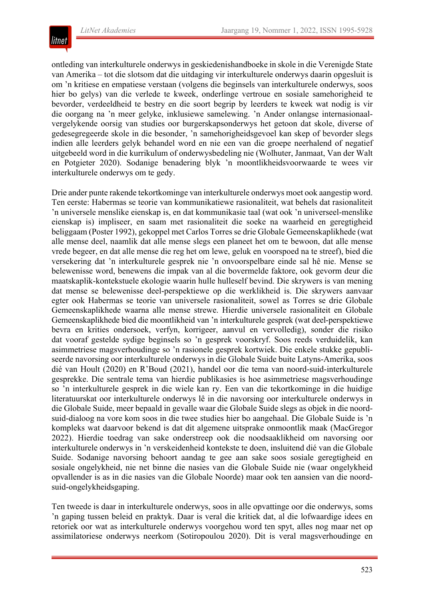

ontleding van interkulturele onderwys in geskiedenishandboeke in skole in die Verenigde State van Amerika – tot die slotsom dat die uitdaging vir interkulturele onderwys daarin opgesluit is om 'n kritiese en empatiese verstaan (volgens die beginsels van interkulturele onderwys, soos hier bo gelys) van die verlede te kweek, onderlinge vertroue en sosiale samehorigheid te bevorder, verdeeldheid te bestry en die soort begrip by leerders te kweek wat nodig is vir die oorgang na 'n meer gelyke, inklusiewe samelewing. 'n Ander onlangse internasionaalvergelykende oorsig van studies oor burgerskapsonderwys het getoon dat skole, diverse of gedesegregeerde skole in die besonder, 'n samehorigheidsgevoel kan skep of bevorder slegs indien alle leerders gelyk behandel word en nie een van die groepe neerhalend of negatief uitgebeeld word in die kurrikulum of onderwysbedeling nie (Wolhuter, Janmaat, Van der Walt en Potgieter 2020). Sodanige benadering blyk 'n moontlikheidsvoorwaarde te wees vir interkulturele onderwys om te gedy.

Drie ander punte rakende tekortkominge van interkulturele onderwys moet ook aangestip word. Ten eerste: Habermas se teorie van kommunikatiewe rasionaliteit, wat behels dat rasionaliteit 'n universele menslike eienskap is, en dat kommunikasie taal (wat ook 'n universeel-menslike eienskap is) impliseer, en saam met rasionaliteit die soeke na waarheid en geregtigheid beliggaam (Poster 1992), gekoppel met Carlos Torres se drie Globale Gemeenskaplikhede (wat alle mense deel, naamlik dat alle mense slegs een planeet het om te bewoon, dat alle mense vrede begeer, en dat alle mense die reg het om lewe, geluk en voorspoed na te streef), bied die versekering dat 'n interkulturele gesprek nie 'n onvoorspelbare einde sal hê nie. Mense se belewenisse word, benewens die impak van al die bovermelde faktore, ook gevorm deur die maatskaplik-kontekstuele ekologie waarin hulle hulleself bevind. Die skrywers is van mening dat mense se belewenisse deel-perspektiewe op die werklikheid is. Die skrywers aanvaar egter ook Habermas se teorie van universele rasionaliteit, sowel as Torres se drie Globale Gemeenskaplikhede waarna alle mense strewe. Hierdie universele rasionaliteit en Globale Gemeenskaplikhede bied die moontlikheid van 'n interkulturele gesprek (wat deel-perspektiewe bevra en krities ondersoek, verfyn, korrigeer, aanvul en vervolledig), sonder die risiko dat vooraf gestelde sydige beginsels so 'n gesprek voorskryf. Soos reeds verduidelik, kan asimmetriese magsverhoudinge so 'n rasionele gesprek kortwiek. Die enkele stukke gepubliseerde navorsing oor interkulturele onderwys in die Globale Suide buite Latyns-Amerika, soos dié van Hoult (2020) en R'Boud (2021), handel oor die tema van noord-suid-interkulturele gesprekke. Die sentrale tema van hierdie publikasies is hoe asimmetriese magsverhoudinge so 'n interkulturele gesprek in die wiele kan ry. Een van die tekortkominge in die huidige literatuurskat oor interkulturele onderwys lê in die navorsing oor interkulturele onderwys in die Globale Suide, meer bepaald in gevalle waar die Globale Suide slegs as objek in die noordsuid-dialoog na vore kom soos in die twee studies hier bo aangehaal. Die Globale Suide is 'n kompleks wat daarvoor bekend is dat dit algemene uitsprake onmoontlik maak (MacGregor 2022). Hierdie toedrag van sake onderstreep ook die noodsaaklikheid om navorsing oor interkulturele onderwys in 'n verskeidenheid kontekste te doen, insluitend dié van die Globale Suide. Sodanige navorsing behoort aandag te gee aan sake soos sosiale geregtigheid en sosiale ongelykheid, nie net binne die nasies van die Globale Suide nie (waar ongelykheid opvallender is as in die nasies van die Globale Noorde) maar ook ten aansien van die noordsuid-ongelykheidsgaping.

Ten tweede is daar in interkulturele onderwys, soos in alle opvattinge oor die onderwys, soms 'n gaping tussen beleid en praktyk. Daar is veral die kritiek dat, al die lofwaardige idees en retoriek oor wat as interkulturele onderwys voorgehou word ten spyt, alles nog maar net op assimilatoriese onderwys neerkom (Sotiropoulou 2020). Dit is veral magsverhoudinge en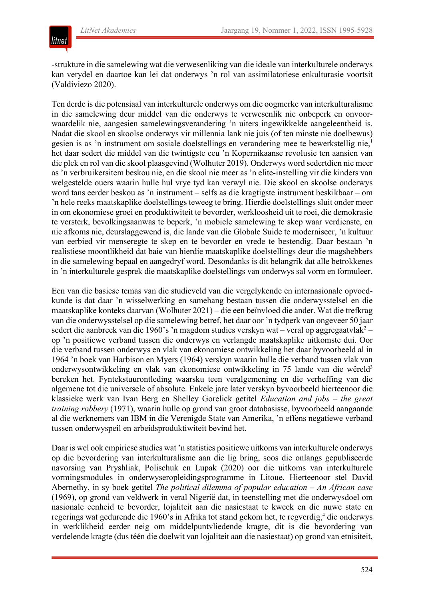# litnet

-strukture in die samelewing wat die verwesenliking van die ideale van interkulturele onderwys kan verydel en daartoe kan lei dat onderwys 'n rol van assimilatoriese enkulturasie voortsit (Valdiviezo 2020).

Ten derde is die potensiaal van interkulturele onderwys om die oogmerke van interkulturalisme in die samelewing deur middel van die onderwys te verwesenlik nie onbeperk en onvoorwaardelik nie, aangesien samelewingsverandering 'n uiters ingewikkelde aangeleentheid is. Nadat die skool en skoolse onderwys vir millennia lank nie juis (of ten minste nie doelbewus) gesien is as 'n instrument om sosiale doelstellings en verandering mee te bewerkstellig nie,<sup>1</sup> het daar sedert die middel van die twintigste eeu 'n Kopernikaanse revolusie ten aansien van die plek en rol van die skool plaasgevind (Wolhuter 2019). Onderwys word sedertdien nie meer as 'n verbruikersitem beskou nie, en die skool nie meer as 'n elite-instelling vir die kinders van welgestelde ouers waarin hulle hul vrye tyd kan verwyl nie. Die skool en skoolse onderwys word tans eerder beskou as 'n instrument – selfs as die kragtigste instrument beskikbaar – om 'n hele reeks maatskaplike doelstellings teweeg te bring. Hierdie doelstellings sluit onder meer in om ekonomiese groei en produktiwiteit te bevorder, werkloosheid uit te roei, die demokrasie te versterk, bevolkingsaanwas te beperk, 'n mobiele samelewing te skep waar verdienste, en nie afkoms nie, deurslaggewend is, die lande van die Globale Suide te moderniseer, 'n kultuur van eerbied vir menseregte te skep en te bevorder en vrede te bestendig. Daar bestaan 'n realistiese moontlikheid dat baie van hierdie maatskaplike doelstellings deur die magshebbers in die samelewing bepaal en aangedryf word. Desondanks is dit belangrik dat alle betrokkenes in 'n interkulturele gesprek die maatskaplike doelstellings van onderwys sal vorm en formuleer.

Een van die basiese temas van die studieveld van die vergelykende en internasionale opvoedkunde is dat daar 'n wisselwerking en samehang bestaan tussen die onderwysstelsel en die maatskaplike konteks daarvan (Wolhuter 2021) ‒ die een beïnvloed die ander. Wat die trefkrag van die onderwysstelsel op die samelewing betref, het daar oor 'n tydperk van ongeveer 50 jaar sedert die aanbreek van die 1960's 'n magdom studies verskyn wat – veral op aggregaatvlak<sup>2</sup> – op 'n positiewe verband tussen die onderwys en verlangde maatskaplike uitkomste dui. Oor die verband tussen onderwys en vlak van ekonomiese ontwikkeling het daar byvoorbeeld al in 1964 'n boek van Harbison en Myers (1964) verskyn waarin hulle die verband tussen vlak van onderwysontwikkeling en vlak van ekonomiese ontwikkeling in 75 lande van die wêreld3 bereken het. Fyntekstuurontleding waarsku teen veralgemening en die verheffing van die algemene tot die universele of absolute. Enkele jare later verskyn byvoorbeeld hierteenoor die klassieke werk van Ivan Berg en Shelley Gorelick getitel *Education and jobs – the great training robbery* (1971), waarin hulle op grond van groot databasisse, byvoorbeeld aangaande al die werknemers van IBM in die Verenigde State van Amerika, 'n effens negatiewe verband tussen onderwyspeil en arbeidsproduktiwiteit bevind het.

Daar is wel ook empiriese studies wat 'n statisties positiewe uitkoms van interkulturele onderwys op die bevordering van interkulturalisme aan die lig bring, soos die onlangs gepubliseerde navorsing van Pryshliak, Polischuk en Lupak (2020) oor die uitkoms van interkulturele vormingsmodules in onderwyseropleidingsprogramme in Litoue. Hierteenoor stel David Abernethy, in sy boek getitel *The political dilemma of popular education – An African case* (1969), op grond van veldwerk in veral Nigerië dat, in teenstelling met die onderwysdoel om nasionale eenheid te bevorder, lojaliteit aan die nasiestaat te kweek en die nuwe state en regerings wat gedurende die 1960's in Afrika tot stand gekom het, te regverdig,<sup>4</sup> die onderwys in werklikheid eerder neig om middelpuntvliedende kragte, dit is die bevordering van verdelende kragte (dus téén die doelwit van lojaliteit aan die nasiestaat) op grond van etnisiteit,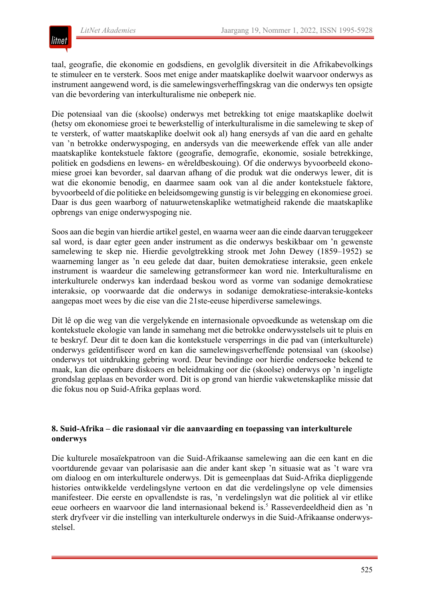

taal, geografie, die ekonomie en godsdiens, en gevolglik diversiteit in die Afrikabevolkings te stimuleer en te versterk. Soos met enige ander maatskaplike doelwit waarvoor onderwys as instrument aangewend word, is die samelewingsverheffingskrag van die onderwys ten opsigte van die bevordering van interkulturalisme nie onbeperk nie.

Die potensiaal van die (skoolse) onderwys met betrekking tot enige maatskaplike doelwit (hetsy om ekonomiese groei te bewerkstellig of interkulturalisme in die samelewing te skep of te versterk, of watter maatskaplike doelwit ook al) hang enersyds af van die aard en gehalte van 'n betrokke onderwyspoging, en andersyds van die meewerkende effek van alle ander maatskaplike kontekstuele faktore (geografie, demografie, ekonomie, sosiale betrekkinge, politiek en godsdiens en lewens- en wêreldbeskouing). Of die onderwys byvoorbeeld ekonomiese groei kan bevorder, sal daarvan afhang of die produk wat die onderwys lewer, dit is wat die ekonomie benodig, en daarmee saam ook van al die ander kontekstuele faktore, byvoorbeeld of die politieke en beleidsomgewing gunstig is vir belegging en ekonomiese groei. Daar is dus geen waarborg of natuurwetenskaplike wetmatigheid rakende die maatskaplike opbrengs van enige onderwyspoging nie.

Soos aan die begin van hierdie artikel gestel, en waarna weer aan die einde daarvan teruggekeer sal word, is daar egter geen ander instrument as die onderwys beskikbaar om 'n gewenste samelewing te skep nie. Hierdie gevolgtrekking strook met John Dewey (1859–1952) se waarneming langer as 'n eeu gelede dat daar, buiten demokratiese interaksie, geen enkele instrument is waardeur die samelewing getransformeer kan word nie. Interkulturalisme en interkulturele onderwys kan inderdaad beskou word as vorme van sodanige demokratiese interaksie, op voorwaarde dat die onderwys in sodanige demokratiese-interaksie-konteks aangepas moet wees by die eise van die 21ste-eeuse hiperdiverse samelewings.

Dit lê op die weg van die vergelykende en internasionale opvoedkunde as wetenskap om die kontekstuele ekologie van lande in samehang met die betrokke onderwysstelsels uit te pluis en te beskryf. Deur dit te doen kan die kontekstuele versperrings in die pad van (interkulturele) onderwys geïdentifiseer word en kan die samelewingsverheffende potensiaal van (skoolse) onderwys tot uitdrukking gebring word. Deur bevindinge oor hierdie ondersoeke bekend te maak, kan die openbare diskoers en beleidmaking oor die (skoolse) onderwys op 'n ingeligte grondslag geplaas en bevorder word. Dit is op grond van hierdie vakwetenskaplike missie dat die fokus nou op Suid-Afrika geplaas word.

## **8. Suid-Afrika – die rasionaal vir die aanvaarding en toepassing van interkulturele onderwys**

Die kulturele mosaïekpatroon van die Suid-Afrikaanse samelewing aan die een kant en die voortdurende gevaar van polarisasie aan die ander kant skep 'n situasie wat as 't ware vra om dialoog en om interkulturele onderwys. Dit is gemeenplaas dat Suid-Afrika diepliggende histories ontwikkelde verdelingslyne vertoon en dat die verdelingslyne op vele dimensies manifesteer. Die eerste en opvallendste is ras, 'n verdelingslyn wat die politiek al vir etlike eeue oorheers en waarvoor die land internasionaal bekend is.<sup>5</sup> Rasseverdeeldheid dien as 'n sterk dryfveer vir die instelling van interkulturele onderwys in die Suid-Afrikaanse onderwysstelsel.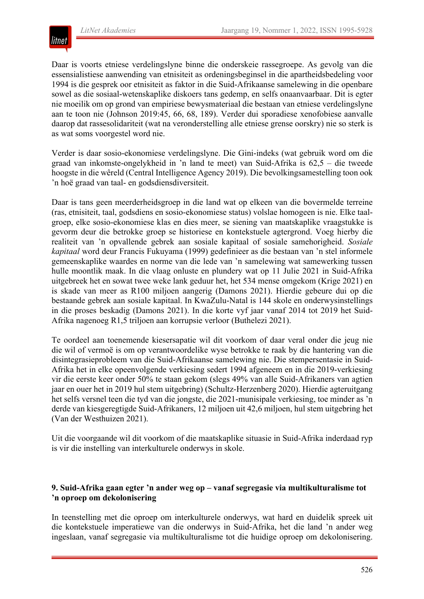

Daar is voorts etniese verdelingslyne binne die onderskeie rassegroepe. As gevolg van die essensialistiese aanwending van etnisiteit as ordeningsbeginsel in die apartheidsbedeling voor 1994 is die gesprek oor etnisiteit as faktor in die Suid-Afrikaanse samelewing in die openbare sowel as die sosiaal-wetenskaplike diskoers tans gedemp, en selfs onaanvaarbaar. Dit is egter nie moeilik om op grond van empiriese bewysmateriaal die bestaan van etniese verdelingslyne aan te toon nie (Johnson 2019:45, 66, 68, 189). Verder dui sporadiese xenofobiese aanvalle daarop dat rassesolidariteit (wat na veronderstelling alle etniese grense oorskry) nie so sterk is as wat soms voorgestel word nie.

Verder is daar sosio-ekonomiese verdelingslyne. Die Gini-indeks (wat gebruik word om die graad van inkomste-ongelykheid in 'n land te meet) van Suid-Afrika is 62,5 ‒ die tweede hoogste in die wêreld (Central Intelligence Agency 2019). Die bevolkingsamestelling toon ook 'n hoë graad van taal- en godsdiensdiversiteit.

Daar is tans geen meerderheidsgroep in die land wat op elkeen van die bovermelde terreine (ras, etnisiteit, taal, godsdiens en sosio-ekonomiese status) volslae homogeen is nie. Elke taalgroep, elke sosio-ekonomiese klas en dies meer, se siening van maatskaplike vraagstukke is gevorm deur die betrokke groep se historiese en kontekstuele agtergrond. Voeg hierby die realiteit van 'n opvallende gebrek aan sosiale kapitaal of sosiale samehorigheid. *Sosiale kapitaal* word deur Francis Fukuyama (1999) gedefinieer as die bestaan van 'n stel informele gemeenskaplike waardes en norme van die lede van 'n samelewing wat samewerking tussen hulle moontlik maak. In die vlaag onluste en plundery wat op 11 Julie 2021 in Suid-Afrika uitgebreek het en sowat twee weke lank geduur het, het 534 mense omgekom (Krige 2021) en is skade van meer as R100 miljoen aangerig (Damons 2021). Hierdie gebeure dui op die bestaande gebrek aan sosiale kapitaal. In KwaZulu-Natal is 144 skole en onderwysinstellings in die proses beskadig (Damons 2021). In die korte vyf jaar vanaf 2014 tot 2019 het Suid-Afrika nagenoeg R1,5 triljoen aan korrupsie verloor (Buthelezi 2021).

Te oordeel aan toenemende kiesersapatie wil dit voorkom of daar veral onder die jeug nie die wil of vermoë is om op verantwoordelike wyse betrokke te raak by die hantering van die disintegrasieprobleem van die Suid-Afrikaanse samelewing nie. Die stempersentasie in Suid-Afrika het in elke opeenvolgende verkiesing sedert 1994 afgeneem en in die 2019-verkiesing vir die eerste keer onder 50% te staan gekom (slegs 49% van alle Suid-Afrikaners van agtien jaar en ouer het in 2019 hul stem uitgebring) (Schultz-Herzenberg 2020). Hierdie agteruitgang het selfs versnel teen die tyd van die jongste, die 2021-munisipale verkiesing, toe minder as 'n derde van kiesgeregtigde Suid-Afrikaners, 12 miljoen uit 42,6 miljoen, hul stem uitgebring het (Van der Westhuizen 2021).

Uit die voorgaande wil dit voorkom of die maatskaplike situasie in Suid-Afrika inderdaad ryp is vir die instelling van interkulturele onderwys in skole.

#### **9. Suid-Afrika gaan egter 'n ander weg op – vanaf segregasie via multikulturalisme tot 'n oproep om dekolonisering**

In teenstelling met die oproep om interkulturele onderwys, wat hard en duidelik spreek uit die kontekstuele imperatiewe van die onderwys in Suid-Afrika, het die land 'n ander weg ingeslaan, vanaf segregasie via multikulturalisme tot die huidige oproep om dekolonisering.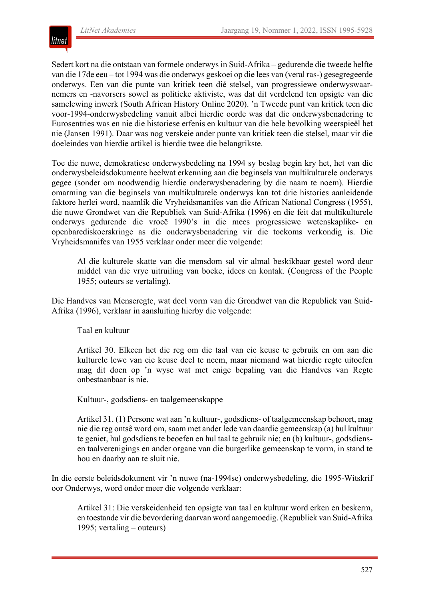

Sedert kort na die ontstaan van formele onderwys in Suid-Afrika – gedurende die tweede helfte van die 17de eeu – tot 1994 was die onderwys geskoei op die lees van (veral ras-) gesegregeerde onderwys. Een van die punte van kritiek teen dié stelsel, van progressiewe onderwyswaarnemers en -navorsers sowel as politieke aktiviste, was dat dit verdelend ten opsigte van die samelewing inwerk (South African History Online 2020). 'n Tweede punt van kritiek teen die voor-1994-onderwysbedeling vanuit albei hierdie oorde was dat die onderwysbenadering te Eurosentries was en nie die historiese erfenis en kultuur van die hele bevolking weerspieël het nie (Jansen 1991). Daar was nog verskeie ander punte van kritiek teen die stelsel, maar vir die doeleindes van hierdie artikel is hierdie twee die belangrikste.

Toe die nuwe, demokratiese onderwysbedeling na 1994 sy beslag begin kry het, het van die onderwysbeleidsdokumente heelwat erkenning aan die beginsels van multikulturele onderwys gegee (sonder om noodwendig hierdie onderwysbenadering by die naam te noem). Hierdie omarming van die beginsels van multikulturele onderwys kan tot drie histories aanleidende faktore herlei word, naamlik die Vryheidsmanifes van die African National Congress (1955), die nuwe Grondwet van die Republiek van Suid-Afrika (1996) en die feit dat multikulturele onderwys gedurende die vroeë 1990's in die mees progressiewe wetenskaplike- en openbarediskoerskringe as die onderwysbenadering vir die toekoms verkondig is. Die Vryheidsmanifes van 1955 verklaar onder meer die volgende:

Al die kulturele skatte van die mensdom sal vir almal beskikbaar gestel word deur middel van die vrye uitruiling van boeke, idees en kontak. (Congress of the People 1955; outeurs se vertaling).

Die Handves van Menseregte, wat deel vorm van die Grondwet van die Republiek van Suid-Afrika (1996), verklaar in aansluiting hierby die volgende:

Taal en kultuur

Artikel 30. Elkeen het die reg om die taal van eie keuse te gebruik en om aan die kulturele lewe van eie keuse deel te neem, maar niemand wat hierdie regte uitoefen mag dit doen op 'n wyse wat met enige bepaling van die Handves van Regte onbestaanbaar is nie.

Kultuur-, godsdiens- en taalgemeenskappe

Artikel 31. (1) Persone wat aan 'n kultuur-, godsdiens- of taalgemeenskap behoort, mag nie die reg ontsê word om, saam met ander lede van daardie gemeenskap (a) hul kultuur te geniet, hul godsdiens te beoefen en hul taal te gebruik nie; en (b) kultuur-, godsdiensen taalverenigings en ander organe van die burgerlike gemeenskap te vorm, in stand te hou en daarby aan te sluit nie.

In die eerste beleidsdokument vir 'n nuwe (na-1994se) onderwysbedeling, die 1995-Witskrif oor Onderwys, word onder meer die volgende verklaar:

Artikel 31: Die verskeidenheid ten opsigte van taal en kultuur word erken en beskerm, en toestande vir die bevordering daarvan word aangemoedig. (Republiek van Suid-Afrika 1995; vertaling – outeurs)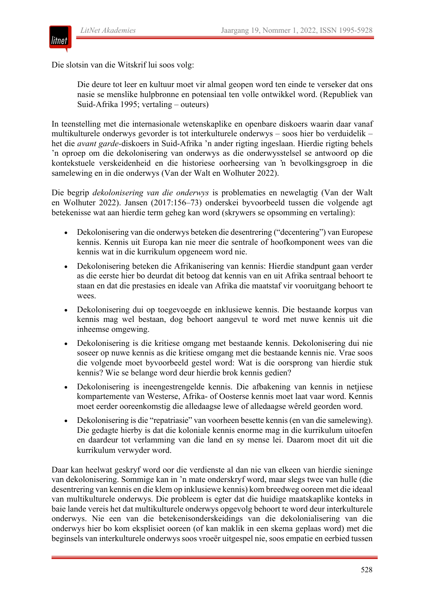

Die slotsin van die Witskrif lui soos volg:

Die deure tot leer en kultuur moet vir almal geopen word ten einde te verseker dat ons nasie se menslike hulpbronne en potensiaal ten volle ontwikkel word. (Republiek van Suid-Afrika 1995; vertaling – outeurs)

In teenstelling met die internasionale wetenskaplike en openbare diskoers waarin daar vanaf multikulturele onderwys gevorder is tot interkulturele onderwys – soos hier bo verduidelik – het die *avant garde-*diskoers in Suid-Afrika 'n ander rigting ingeslaan. Hierdie rigting behels 'n oproep om die dekolonisering van onderwys as die onderwysstelsel se antwoord op die kontekstuele verskeidenheid en die historiese oorheersing van 'n bevolkingsgroep in die samelewing en in die onderwys (Van der Walt en Wolhuter 2022).

Die begrip *dekolonisering van die onderwys* is problematies en newelagtig (Van der Walt en Wolhuter 2022). Jansen (2017:156–73) onderskei byvoorbeeld tussen die volgende agt betekenisse wat aan hierdie term geheg kan word (skrywers se opsomming en vertaling):

- Dekolonisering van die onderwys beteken die desentrering ("decentering") van Europese kennis. Kennis uit Europa kan nie meer die sentrale of hoofkomponent wees van die kennis wat in die kurrikulum opgeneem word nie.
- Dekolonisering beteken die Afrikanisering van kennis: Hierdie standpunt gaan verder as die eerste hier bo deurdat dit betoog dat kennis van en uit Afrika sentraal behoort te staan en dat die prestasies en ideale van Afrika die maatstaf vir vooruitgang behoort te wees.
- Dekolonisering dui op toegevoegde en inklusiewe kennis. Die bestaande korpus van kennis mag wel bestaan, dog behoort aangevul te word met nuwe kennis uit die inheemse omgewing.
- Dekolonisering is die kritiese omgang met bestaande kennis. Dekolonisering dui nie soseer op nuwe kennis as die kritiese omgang met die bestaande kennis nie. Vrae soos die volgende moet byvoorbeeld gestel word: Wat is die oorsprong van hierdie stuk kennis? Wie se belange word deur hierdie brok kennis gedien?
- Dekolonisering is ineengestrengelde kennis. Die afbakening van kennis in netjiese kompartemente van Westerse, Afrika- of Oosterse kennis moet laat vaar word. Kennis moet eerder ooreenkomstig die alledaagse lewe of alledaagse wêreld georden word.
- Dekolonisering is die "repatriasie" van voorheen besette kennis (en van die samelewing). Die gedagte hierby is dat die koloniale kennis enorme mag in die kurrikulum uitoefen en daardeur tot verlamming van die land en sy mense lei. Daarom moet dit uit die kurrikulum verwyder word.

Daar kan heelwat geskryf word oor die verdienste al dan nie van elkeen van hierdie sieninge van dekolonisering. Sommige kan in 'n mate onderskryf word, maar slegs twee van hulle (die desentrering van kennis en die klem op inklusiewe kennis) kom breedweg ooreen met die ideaal van multikulturele onderwys. Die probleem is egter dat die huidige maatskaplike konteks in baie lande vereis het dat multikulturele onderwys opgevolg behoort te word deur interkulturele onderwys. Nie een van die betekenisonderskeidings van die dekolonialisering van die onderwys hier bo kom eksplisiet ooreen (of kan maklik in een skema geplaas word) met die beginsels van interkulturele onderwys soos vroeër uitgespel nie, soos empatie en eerbied tussen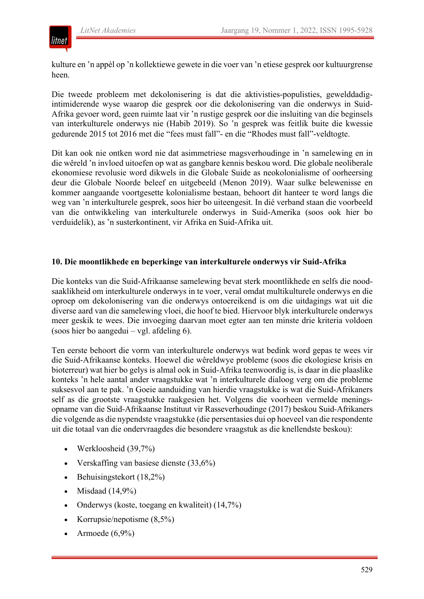

kulture en 'n appèl op 'n kollektiewe gewete in die voer van 'n etiese gesprek oor kultuurgrense heen.

Die tweede probleem met dekolonisering is dat die aktivisties-populisties, gewelddadigintimiderende wyse waarop die gesprek oor die dekolonisering van die onderwys in Suid-Afrika gevoer word, geen ruimte laat vir 'n rustige gesprek oor die insluiting van die beginsels van interkulturele onderwys nie (Habib 2019). So 'n gesprek was feitlik buite die kwessie gedurende 2015 tot 2016 met die "fees must fall"- en die "Rhodes must fall"-veldtogte.

Dit kan ook nie ontken word nie dat asimmetriese magsverhoudinge in 'n samelewing en in die wêreld 'n invloed uitoefen op wat as gangbare kennis beskou word. Die globale neoliberale ekonomiese revolusie word dikwels in die Globale Suide as neokolonialisme of oorheersing deur die Globale Noorde beleef en uitgebeeld (Menon 2019). Waar sulke belewenisse en kommer aangaande voortgesette kolonialisme bestaan, behoort dit hanteer te word langs die weg van 'n interkulturele gesprek, soos hier bo uiteengesit. In dié verband staan die voorbeeld van die ontwikkeling van interkulturele onderwys in Suid-Amerika (soos ook hier bo verduidelik), as 'n susterkontinent, vir Afrika en Suid-Afrika uit.

#### **10. Die moontlikhede en beperkinge van interkulturele onderwys vir Suid-Afrika**

Die konteks van die Suid-Afrikaanse samelewing bevat sterk moontlikhede en selfs die noodsaaklikheid om interkulturele onderwys in te voer, veral omdat multikulturele onderwys en die oproep om dekolonisering van die onderwys ontoereikend is om die uitdagings wat uit die diverse aard van die samelewing vloei, die hoof te bied. Hiervoor blyk interkulturele onderwys meer geskik te wees. Die invoeging daarvan moet egter aan ten minste drie kriteria voldoen (soos hier bo aangedui – vgl. afdeling 6).

Ten eerste behoort die vorm van interkulturele onderwys wat bedink word gepas te wees vir die Suid-Afrikaanse konteks. Hoewel die wêreldwye probleme (soos die ekologiese krisis en bioterreur) wat hier bo gelys is almal ook in Suid-Afrika teenwoordig is, is daar in die plaaslike konteks 'n hele aantal ander vraagstukke wat 'n interkulturele dialoog verg om die probleme suksesvol aan te pak. 'n Goeie aanduiding van hierdie vraagstukke is wat die Suid-Afrikaners self as die grootste vraagstukke raakgesien het. Volgens die voorheen vermelde meningsopname van die Suid-Afrikaanse Instituut vir Rasseverhoudinge (2017) beskou Suid-Afrikaners die volgende as die nypendste vraagstukke (die persentasies dui op hoeveel van die respondente uit die totaal van die ondervraagdes die besondere vraagstuk as die knellendste beskou):

- Werkloosheid (39,7%)
- Verskaffing van basiese dienste (33,6%)
- Behuisingstekort (18,2%)
- Misdaad  $(14,9\%)$
- Onderwys (koste, toegang en kwaliteit) (14,7%)
- Korrupsie/nepotisme (8,5%)
- Armoede (6,9%)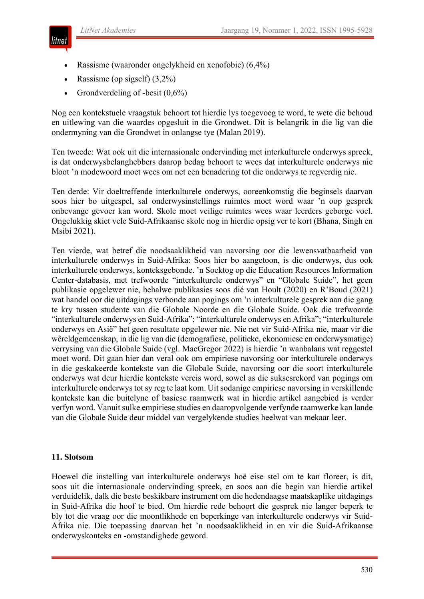

- Rassisme (waaronder ongelykheid en xenofobie) (6,4%)
- Rassisme (op sigself) (3,2%)
- Grondverdeling of -besit  $(0,6\%)$

Nog een kontekstuele vraagstuk behoort tot hierdie lys toegevoeg te word, te wete die behoud en uitlewing van die waardes opgesluit in die Grondwet. Dit is belangrik in die lig van die ondermyning van die Grondwet in onlangse tye (Malan 2019).

Ten tweede: Wat ook uit die internasionale ondervinding met interkulturele onderwys spreek, is dat onderwysbelanghebbers daarop bedag behoort te wees dat interkulturele onderwys nie bloot 'n modewoord moet wees om net een benadering tot die onderwys te regverdig nie.

Ten derde: Vir doeltreffende interkulturele onderwys, ooreenkomstig die beginsels daarvan soos hier bo uitgespel, sal onderwysinstellings ruimtes moet word waar 'n oop gesprek onbevange gevoer kan word. Skole moet veilige ruimtes wees waar leerders geborge voel. Ongelukkig skiet vele Suid-Afrikaanse skole nog in hierdie opsig ver te kort (Bhana, Singh en Msibi 2021).

Ten vierde, wat betref die noodsaaklikheid van navorsing oor die lewensvatbaarheid van interkulturele onderwys in Suid-Afrika: Soos hier bo aangetoon, is die onderwys, dus ook interkulturele onderwys, konteksgebonde. 'n Soektog op die Education Resources Information Center-databasis, met trefwoorde "interkulturele onderwys" en "Globale Suide", het geen publikasie opgelewer nie, behalwe publikasies soos dié van Hoult (2020) en R'Boud (2021) wat handel oor die uitdagings verbonde aan pogings om 'n interkulturele gesprek aan die gang te kry tussen studente van die Globale Noorde en die Globale Suide. Ook die trefwoorde "interkulturele onderwys en Suid-Afrika"; "interkulturele onderwys en Afrika"; "interkulturele onderwys en Asië" het geen resultate opgelewer nie. Nie net vir Suid-Afrika nie, maar vir die wêreldgemeenskap, in die lig van die (demografiese, politieke, ekonomiese en onderwysmatige) verrysing van die Globale Suide (vgl. MacGregor 2022) is hierdie 'n wanbalans wat reggestel moet word. Dit gaan hier dan veral ook om empiriese navorsing oor interkulturele onderwys in die geskakeerde kontekste van die Globale Suide, navorsing oor die soort interkulturele onderwys wat deur hierdie kontekste vereis word, sowel as die suksesrekord van pogings om interkulturele onderwys tot sy reg te laat kom. Uit sodanige empiriese navorsing in verskillende kontekste kan die buitelyne of basiese raamwerk wat in hierdie artikel aangebied is verder verfyn word. Vanuit sulke empiriese studies en daaropvolgende verfynde raamwerke kan lande van die Globale Suide deur middel van vergelykende studies heelwat van mekaar leer.

#### **11. Slotsom**

Hoewel die instelling van interkulturele onderwys hoë eise stel om te kan floreer, is dit, soos uit die internasionale ondervinding spreek, en soos aan die begin van hierdie artikel verduidelik, dalk die beste beskikbare instrument om die hedendaagse maatskaplike uitdagings in Suid-Afrika die hoof te bied. Om hierdie rede behoort die gesprek nie langer beperk te bly tot die vraag oor die moontlikhede en beperkinge van interkulturele onderwys vir Suid-Afrika nie. Die toepassing daarvan het 'n noodsaaklikheid in en vir die Suid-Afrikaanse onderwyskonteks en -omstandighede geword.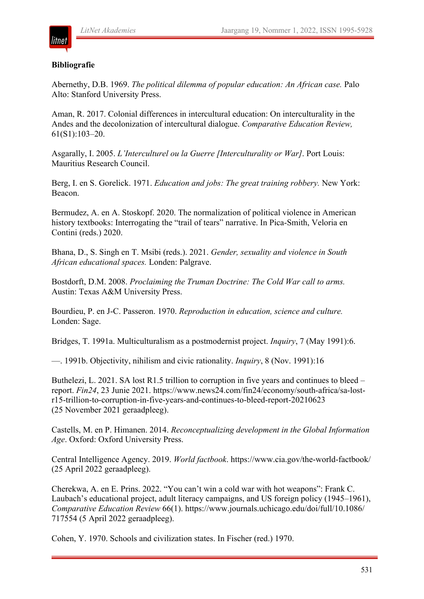# **Bibliografie**

lıtnet

Abernethy, D.B. 1969. *The political dilemma of popular education: An African case.* Palo Alto: Stanford University Press.

Aman, R. 2017. Colonial differences in intercultural education: On interculturality in the Andes and the decolonization of intercultural dialogue. *Comparative Education Review,* 61(S1):103–20.

Asgarally, I. 2005. *L'Interculturel ou la Guerre [Interculturality or War]*. Port Louis: Mauritius Research Council.

Berg, I. en S. Gorelick. 1971. *Education and jobs: The great training robbery.* New York: Beacon.

Bermudez, A. en A. Stoskopf. 2020. The normalization of political violence in American history textbooks: Interrogating the "trail of tears" narrative. In Pica-Smith, Veloria en Contini (reds.) 2020.

Bhana, D., S. Singh en T. Msibi (reds.). 2021. *Gender, sexuality and violence in South African educational spaces.* Londen: Palgrave.

Bostdorft, D.M. 2008. *Proclaiming the Truman Doctrine: The Cold War call to arms.* Austin: Texas A&M University Press.

Bourdieu, P. en J-C. Passeron. 1970. *Reproduction in education, science and culture.* Londen: Sage.

Bridges, T. 1991a. Multiculturalism as a postmodernist project. *Inquiry*, 7 (May 1991):6.

—. 1991b. Objectivity, nihilism and civic rationality. *Inquiry*, 8 (Nov. 1991):16

Buthelezi, L. 2021. SA lost R1.5 trillion to corruption in five years and continues to bleed – report. *Fin24*, 23 Junie 2021. https://www.news24.com/fin24/economy/south-africa/sa-lostr15-trillion-to-corruption-in-five-years-and-continues-to-bleed-report-20210623 (25 November 2021 geraadpleeg).

Castells, M. en P. Himanen. 2014. *Reconceptualizing development in the Global Information Age*. Oxford: Oxford University Press.

Central Intelligence Agency. 2019. *World factbook*. https://www.cia.gov/the-world-factbook/ (25 April 2022 geraadpleeg).

Cherekwa, A. en E. Prins. 2022. "You can't win a cold war with hot weapons": Frank C. Laubach's educational project, adult literacy campaigns, and US foreign policy (1945–1961), *Comparative Education Review* 66(1). https://www.journals.uchicago.edu/doi/full/10.1086/ 717554 (5 April 2022 geraadpleeg).

Cohen, Y. 1970. Schools and civilization states. In Fischer (red.) 1970.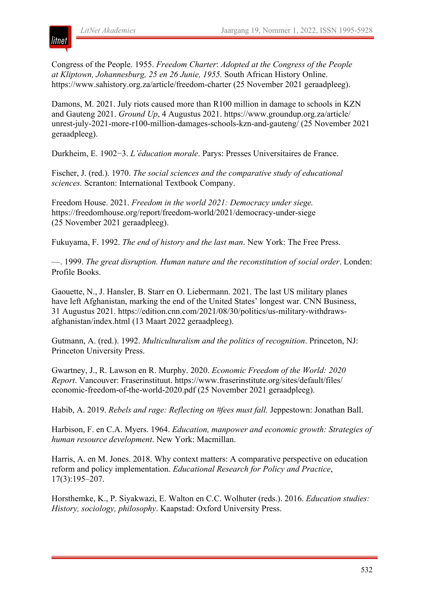

Congress of the People. 1955. *Freedom Charter*: *Adopted at the Congress of the People at Kliptown, Johannesburg, 25 en 26 Junie, 1955.* South African History Online. https://www.sahistory.org.za/article/freedom-charter (25 November 2021 geraadpleeg).

Damons, M. 2021. July riots caused more than R100 million in damage to schools in KZN and Gauteng 2021. *Ground Up*, 4 Augustus 2021. https://www.groundup.org.za/article/ unrest-july-2021-more-r100-million-damages-schools-kzn-and-gauteng/ (25 November 2021 geraadpleeg).

Durkheim, E. 1902−3. *L'éducation morale*. Parys: Presses Universitaires de France.

Fischer, J. (red.). 1970. *The social sciences and the comparative study of educational sciences.* Scranton: International Textbook Company.

Freedom House. 2021. *Freedom in the world 2021: Democracy under siege.* https://freedomhouse.org/report/freedom-world/2021/democracy-under-siege (25 November 2021 geraadpleeg).

Fukuyama, F. 1992. *The end of history and the last man*. New York: The Free Press.

—. 1999. *The great disruption. Human nature and the reconstitution of social order*. Londen: Profile Books.

Gaouette, N., J. Hansler, B. Starr en O. Liebermann. 2021. The last US military planes have left Afghanistan, marking the end of the United States' longest war. CNN Business, 31 Augustus 2021. https://edition.cnn.com/2021/08/30/politics/us-military-withdrawsafghanistan/index.html (13 Maart 2022 geraadpleeg).

Gutmann, A. (red.). 1992. *Multiculturalism and the politics of recognition*. Princeton, NJ: Princeton University Press.

Gwartney, J., R. Lawson en R. Murphy. 2020. *Economic Freedom of the World: 2020 Report*. Vancouver: Fraserinstituut. https://www.fraserinstitute.org/sites/default/files/ economic-freedom-of-the-world-2020.pdf (25 November 2021 geraadpleeg).

Habib, A. 2019. *Rebels and rage: Reflecting on #fees must fall.* Jeppestown: Jonathan Ball.

Harbison, F. en C.A. Myers. 1964. *Education, manpower and economic growth: Strategies of human resource development*. New York: Macmillan.

Harris, A. en M. Jones. 2018. Why context matters: A comparative perspective on education reform and policy implementation. *Educational Research for Policy and Practice*, 17(3):195–207.

Horsthemke, K., P. Siyakwazi, E. Walton en C.C. Wolhuter (reds.). 2016. *Education studies: History, sociology, philosophy*. Kaapstad: Oxford University Press.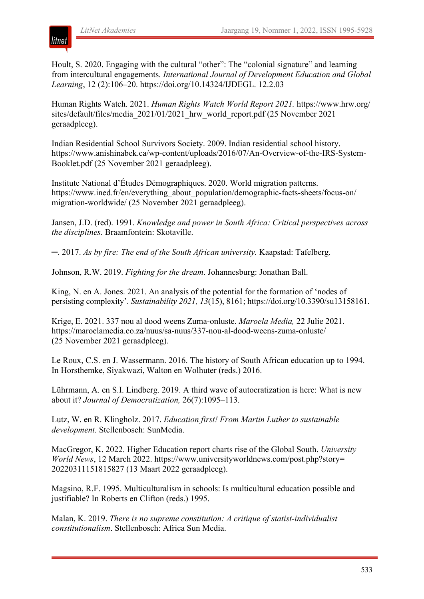

Hoult, S. 2020. Engaging with the cultural "other": The "colonial signature" and learning from intercultural engagements. *International Journal of Development Education and Global Learning*, 12 (2):106–20. https://doi.org/10.14324/IJDEGL. 12.2.03

Human Rights Watch. 2021. *Human Rights Watch World Report 2021.* https://www.hrw.org/ sites/default/files/media\_2021/01/2021\_hrw\_world\_report.pdf (25 November 2021 geraadpleeg).

Indian Residential School Survivors Society. 2009. Indian residential school history. https://www.anishinabek.ca/wp-content/uploads/2016/07/An-Overview-of-the-IRS-System-Booklet.pdf (25 November 2021 geraadpleeg).

Institute National d'Études Démographiques. 2020. World migration patterns. https://www.ined.fr/en/everything\_about\_population/demographic-facts-sheets/focus-on/ migration-worldwide/ (25 November 2021 geraadpleeg).

Jansen, J.D. (red). 1991. *Knowledge and power in South Africa: Critical perspectives across the disciplines.* Braamfontein: Skotaville.

─. 2017. *As by fire: The end of the South African university.* Kaapstad: Tafelberg.

Johnson, R.W. 2019. *Fighting for the dream*. Johannesburg: Jonathan Ball.

King, N. en A. Jones. 2021. An analysis of the potential for the formation of 'nodes of persisting complexity'. *Sustainability 2021, 13*(15), 8161; https://doi.org/10.3390/su13158161.

Krige, E. 2021. 337 nou al dood weens Zuma-onluste. *Maroela Media,* 22 Julie 2021. https://maroelamedia.co.za/nuus/sa-nuus/337-nou-al-dood-weens-zuma-onluste/ (25 November 2021 geraadpleeg).

Le Roux, C.S. en J. Wassermann. 2016. The history of South African education up to 1994. In Horsthemke, Siyakwazi, Walton en Wolhuter (reds.) 2016.

Lührmann, A. en S.I. Lindberg. 2019. A third wave of autocratization is here: What is new about it? *Journal of Democratization,* 26(7):1095–113.

Lutz, W. en R. Klingholz. 2017. *Education first! From Martin Luther to sustainable development.* Stellenbosch: SunMedia.

MacGregor, K. 2022. Higher Education report charts rise of the Global South. *University World News*, 12 March 2022. https://www.universityworldnews.com/post.php?story= 20220311151815827 (13 Maart 2022 geraadpleeg).

Magsino, R.F. 1995. Multiculturalism in schools: Is multicultural education possible and justifiable? In Roberts en Clifton (reds.) 1995.

Malan, K. 2019. *There is no supreme constitution: A critique of statist-individualist constitutionalism*. Stellenbosch: Africa Sun Media.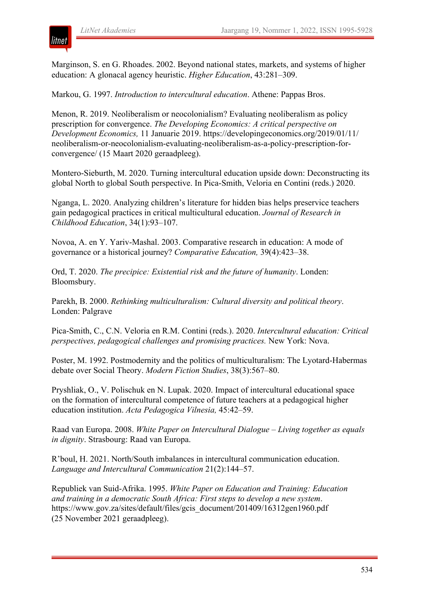

Marginson, S. en G. Rhoades. 2002. Beyond national states, markets, and systems of higher education: A glonacal agency heuristic. *Higher Education*, 43:281–309.

Markou, G. 1997. *Introduction to intercultural education*. Athene: Pappas Bros.

Menon, R. 2019. Neoliberalism or neocolonialism? Evaluating neoliberalism as policy prescription for convergence. *The Developing Economics: A critical perspective on Development Economics,* 11 Januarie 2019. https://developingeconomics.org/2019/01/11/ neoliberalism-or-neocolonialism-evaluating-neoliberalism-as-a-policy-prescription-forconvergence/ (15 Maart 2020 geraadpleeg).

Montero-Sieburth, M. 2020. Turning intercultural education upside down: Deconstructing its global North to global South perspective. In Pica-Smith, Veloria en Contini (reds.) 2020.

Nganga, L. 2020. Analyzing children's literature for hidden bias helps preservice teachers gain pedagogical practices in critical multicultural education. *Journal of Research in Childhood Education*, 34(1):93–107.

Novoa, A. en Y. Yariv-Mashal. 2003. Comparative research in education: A mode of governance or a historical journey? *Comparative Education,* 39(4):423–38.

Ord, T. 2020. *The precipice: Existential risk and the future of humanity*. Londen: Bloomsbury.

Parekh, B. 2000. *Rethinking multiculturalism: Cultural diversity and political theory*. Londen: Palgrave

Pica-Smith, C., C.N. Veloria en R.M. Contini (reds.). 2020. *Intercultural education: Critical perspectives, pedagogical challenges and promising practices.* New York: Nova.

Poster, M. 1992. Postmodernity and the politics of multiculturalism: The Lyotard-Habermas debate over Social Theory. *Modern Fiction Studies*, 38(3):567–80.

Pryshlіak, O., V. Polischuk en N. Lupak. 2020. Impact of intercultural educational space on the formation of intercultural competence of future teachers at a pedagogical higher education institution. *Acta Pedagogica Vilnesia,* 45:42–59.

Raad van Europa. 2008. *White Paper on Intercultural Dialogue – Living together as equals in dignity*. Strasbourg: Raad van Europa.

R'boul, H. 2021. North/South imbalances in intercultural communication education. *Language and Intercultural Communication* 21(2):144–57.

Republiek van Suid-Afrika. 1995. *White Paper on Education and Training: Education and training in a democratic South Africa: First steps to develop a new system*. https://www.gov.za/sites/default/files/gcis\_document/201409/16312gen1960.pdf (25 November 2021 geraadpleeg).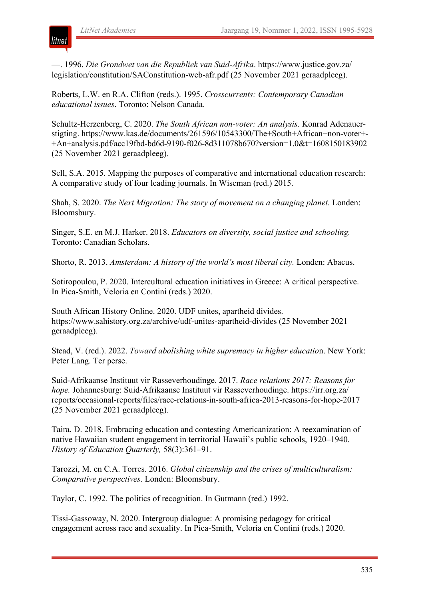litnet

—. 1996. *Die Grondwet van die Republiek van Suid-Afrika*. https://www.justice.gov.za/ legislation/constitution/SAConstitution-web-afr.pdf (25 November 2021 geraadpleeg).

Roberts, L.W. en R.A. Clifton (reds.). 1995. *Crosscurrents: Contemporary Canadian educational issues*. Toronto: Nelson Canada.

Schultz-Herzenberg, C. 2020. *The South African non-voter: An analysis*. Konrad Adenauerstigting. https://www.kas.de/documents/261596/10543300/The+South+African+non-voter+- +An+analysis.pdf/acc19fbd-bd6d-9190-f026-8d311078b670?version=1.0&t=1608150183902 (25 November 2021 geraadpleeg).

Sell, S.A. 2015. Mapping the purposes of comparative and international education research: A comparative study of four leading journals. In Wiseman (red.) 2015.

Shah, S. 2020. *The Next Migration: The story of movement on a changing planet.* Londen: Bloomsbury.

Singer, S.E. en M.J. Harker. 2018. *Educators on diversity, social justice and schooling.* Toronto: Canadian Scholars.

Shorto, R. 2013. *Amsterdam: A history of the world's most liberal city.* Londen: Abacus.

Sotiropoulou, P. 2020. Intercultural education initiatives in Greece: A critical perspective. In Pica-Smith, Veloria en Contini (reds.) 2020.

South African History Online. 2020. UDF unites, apartheid divides. https://www.sahistory.org.za/archive/udf-unites-apartheid-divides (25 November 2021 geraadpleeg).

Stead, V. (red.). 2022. *Toward abolishing white supremacy in higher educatio*n. New York: Peter Lang. Ter perse.

Suid-Afrikaanse Instituut vir Rasseverhoudinge. 2017. *Race relations 2017: Reasons for hope.* Johannesburg: Suid-Afrikaanse Instituut vir Rasseverhoudinge. https://irr.org.za/ reports/occasional-reports/files/race-relations-in-south-africa-2013-reasons-for-hope-2017 (25 November 2021 geraadpleeg).

Taira, D. 2018. Embracing education and contesting Americanization: A reexamination of native Hawaiian student engagement in territorial Hawaii's public schools, 1920–1940. *History of Education Quarterly,* 58(3):361–91.

Tarozzi, M. en C.A. Torres. 2016. *Global citizenship and the crises of multiculturalism: Comparative perspectives*. Londen: Bloomsbury.

Taylor, C. 1992. The politics of recognition. In Gutmann (red.) 1992.

Tissi-Gassoway, N. 2020. Intergroup dialogue: A promising pedagogy for critical engagement across race and sexuality. In Pica-Smith, Veloria en Contini (reds.) 2020.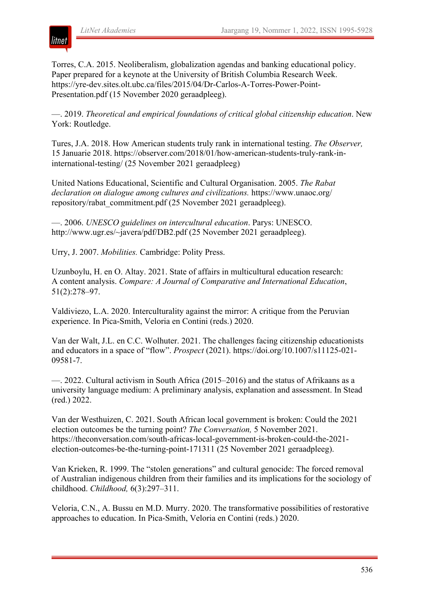Torres, C.A. 2015. Neoliberalism, globalization agendas and banking educational policy. Paper prepared for a keynote at the University of British Columbia Research Week. https://yre-dev.sites.olt.ubc.ca/files/2015/04/Dr-Carlos-A-Torres-Power-Point-Presentation.pdf (15 November 2020 geraadpleeg).

—. 2019. *Theoretical and empirical foundations of critical global citizenship education*. New York: Routledge.

Tures, J.A. 2018. How American students truly rank in international testing. *The Observer,* 15 Januarie 2018. https://observer.com/2018/01/how-american-students-truly-rank-ininternational-testing/ (25 November 2021 geraadpleeg)

United Nations Educational, Scientific and Cultural Organisation. 2005. *The Rabat declaration on dialogue among cultures and civilizations.* https://www.unaoc.org/ repository/rabat\_commitment.pdf (25 November 2021 geraadpleeg).

—. 2006. *UNESCO guidelines on intercultural education*. Parys: UNESCO. http://www.ugr.es/~javera/pdf/DB2.pdf (25 November 2021 geraadpleeg).

Urry, J. 2007. *Mobilities.* Cambridge: Polity Press.

Uzunboylu, H. en O. Altay. 2021. State of affairs in multicultural education research: A content analysis. *Compare: A Journal of Comparative and International Education*, 51(2):278–97.

Valdiviezo, L.A. 2020. Interculturality against the mirror: A critique from the Peruvian experience. In Pica-Smith, Veloria en Contini (reds.) 2020.

Van der Walt, J.L. en C.C. Wolhuter. 2021. The challenges facing citizenship educationists and educators in a space of "flow". *Prospect* (2021). https://doi.org/10.1007/s11125-021- 09581-7.

—. 2022. Cultural activism in South Africa (2015–2016) and the status of Afrikaans as a university language medium: A preliminary analysis, explanation and assessment. In Stead (red.) 2022.

Van der Westhuizen, C. 2021. South African local government is broken: Could the 2021 election outcomes be the turning point? *The Conversation,* 5 November 2021. https://theconversation.com/south-africas-local-government-is-broken-could-the-2021 election-outcomes-be-the-turning-point-171311 (25 November 2021 geraadpleeg).

Van Krieken, R. 1999. The "stolen generations" and cultural genocide: The forced removal of Australian indigenous children from their families and its implications for the sociology of childhood. *Childhood,* 6(3):297–311.

Veloria, C.N., A. Bussu en M.D. Murry. 2020. The transformative possibilities of restorative approaches to education. In Pica-Smith, Veloria en Contini (reds.) 2020.